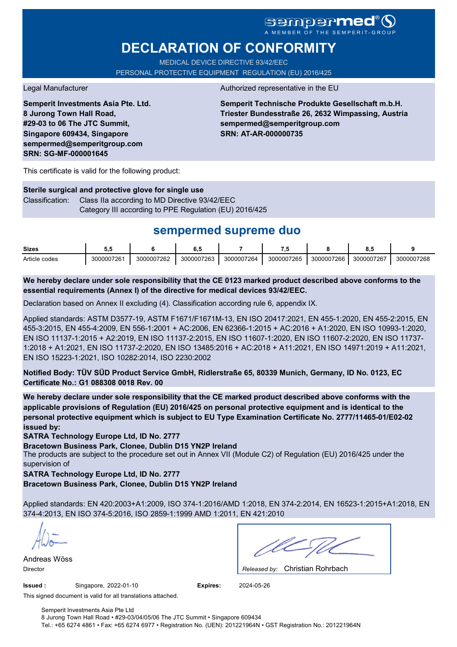# **sempermed**

# **DECLARATION OF CONFORMITY**

MEDICAL DEVICE DIRECTIVE 93/42/EEC PERSONAL PROTECTIVE EQUIPMENT REGULATION (EU) 2016/425

**Semperit Investments Asia Pte. Ltd. 8 Jurong Town Hall Road, #29-03 to 06 The JTC Summit, Singapore 609434, Singapore sempermed@semperitgroup.com SRN: SG-MF-000001645**

#### Legal Manufacturer **Authorized representative in the EU**

**Semperit Technische Produkte Gesellschaft m.b.H. Triester Bundesstraße 26, 2632 Wimpassing, Austria sempermed@semperitgroup.com SRN: AT-AR-000000735**

This certificate is valid for the following product:

**Sterile surgical and protective glove for single use** Classification: Class IIa according to MD Directive 93/42/EEC Category III according to PPE Regulation (EU) 2016/425

## **sempermed supreme duo**

| <b>Sizes</b>  | . .        |            | υ.,        |            |            |            | υ.,        |            |
|---------------|------------|------------|------------|------------|------------|------------|------------|------------|
| Article codes | 3000007261 | 3000007262 | 3000007263 | 3000007264 | 3000007265 | 3000007266 | 3000007267 | 3000007268 |

**We hereby declare under sole responsibility that the CE 0123 marked product described above conforms to the essential requirements (Annex I) of the directive for medical devices 93/42/EEC.**

Declaration based on Annex II excluding (4). Classification according rule 6, appendix IX.

Applied standards: ASTM D3577-19, ASTM F1671/F1671M-13, EN ISO 20417:2021, EN 455-1:2020, EN 455-2:2015, EN 455-3:2015, EN 455-4:2009, EN 556-1:2001 + AC:2006, EN 62366-1:2015 + AC:2016 + A1:2020, EN ISO 10993-1:2020, EN ISO 11137-1:2015 + A2:2019, EN ISO 11137-2:2015, EN ISO 11607-1:2020, EN ISO 11607-2:2020, EN ISO 11737- 1:2018 + A1:2021, EN ISO 11737-2:2020, EN ISO 13485:2016 + AC:2018 + A11:2021, EN ISO 14971:2019 + A11:2021, EN ISO 15223-1:2021, ISO 10282:2014, ISO 2230:2002

**Notified Body: TÜV SÜD Product Service GmbH, Ridlerstraße 65, 80339 Munich, Germany, ID No. 0123, EC Certificate No.: G1 088308 0018 Rev. 00** 

**We hereby declare under sole responsibility that the CE marked product described above conforms with the applicable provisions of Regulation (EU) 2016/425 on personal protective equipment and is identical to the personal protective equipment which is subject to EU Type Examination Certificate No. 2777/11465-01/E02-02 issued by:**

**SATRA Technology Europe Ltd, ID No. 2777**

**Bracetown Business Park, Clonee, Dublin D15 YN2P Ireland**

The products are subject to the procedure set out in Annex VII (Module C2) of Regulation (EU) 2016/425 under the supervision of

**SATRA Technology Europe Ltd, ID No. 2777**

**Bracetown Business Park, Clonee, Dublin D15 YN2P Ireland**

Applied standards: EN 420:2003+A1:2009, ISO 374-1:2016/AMD 1:2018, EN 374-2:2014, EN 16523-1:2015+A1:2018, EN 374-4:2013, EN ISO 374-5:2016, ISO 2859-1:1999 AMD 1:2011, EN 421:2010

Andreas Wöss

Christian Rohrbach Director *Released by:* 

**Issued :** Singapore, 2022-01-10 **Expires:** 2024-05-26

This signed document is valid for all translations attached.

Semperit Investments Asia Pte Ltd 8 Jurong Town Hall Road • #29-03/04/05/06 The JTC Summit • Singapore 609434 Tel.: +65 6274 4861 • Fax: +65 6274 6977 • Registration No. (UEN): 201221964N • GST Registration No.: 201221964N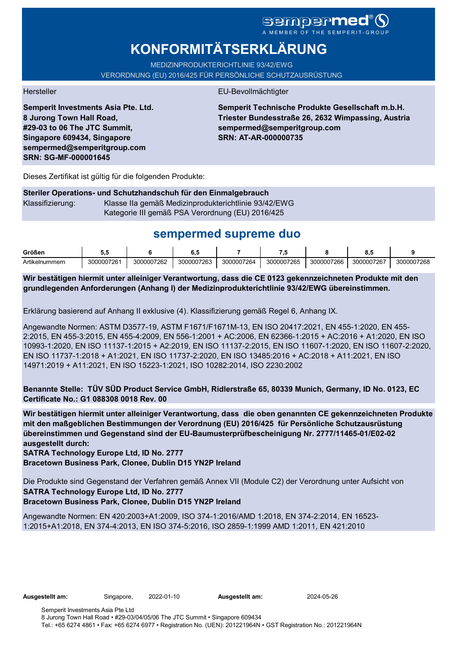# sempermed

# **KONFORMITÄTSERKLÄRUNG**

MEDIZINPRODUKTERICHTLINIE 93/42/EWG VERORDNUNG (EU) 2016/425 FÜR PERSÖNLICHE SCHUTZAUSRÜSTUNG

**Semperit Investments Asia Pte. Ltd. 8 Jurong Town Hall Road, #29-03 to 06 The JTC Summit, Singapore 609434, Singapore sempermed@semperitgroup.com SRN: SG-MF-000001645**

#### Hersteller EU-Bevollmächtigter

**Semperit Technische Produkte Gesellschaft m.b.H. Triester Bundesstraße 26, 2632 Wimpassing, Austria sempermed@semperitgroup.com SRN: AT-AR-000000735**

Dieses Zertifikat ist gültig für die folgenden Produkte:

### **Steriler Operations- und Schutzhandschuh für den Einmalgebrauch** Klassifizierung: Klasse IIa gemäß Medizinprodukterichtlinie 93/42/EWG Kategorie III gemäß PSA Verordnung (EU) 2016/425

# **sempermed supreme duo**

| Größen         | v.v        |            | υ.,        |            | .          |            | ο.,        |            |
|----------------|------------|------------|------------|------------|------------|------------|------------|------------|
| Artikelnummern | 3000007261 | 3000007262 | 3000007263 | 3000007264 | 3000007265 | 3000007266 | 3000007267 | 3000007268 |

**Wir bestätigen hiermit unter alleiniger Verantwortung, dass die CE 0123 gekennzeichneten Produkte mit den grundlegenden Anforderungen (Anhang I) der Medizinprodukterichtlinie 93/42/EWG übereinstimmen.**

Erklärung basierend auf Anhang II exklusive (4). Klassifizierung gemäß Regel 6, Anhang IX.

Angewandte Normen: ASTM D3577-19, ASTM F1671/F1671M-13, EN ISO 20417:2021, EN 455-1:2020, EN 455- 2:2015, EN 455-3:2015, EN 455-4:2009, EN 556-1:2001 + AC:2006, EN 62366-1:2015 + AC:2016 + A1:2020, EN ISO 10993-1:2020, EN ISO 11137-1:2015 + A2:2019, EN ISO 11137-2:2015, EN ISO 11607-1:2020, EN ISO 11607-2:2020, EN ISO 11737-1:2018 + A1:2021, EN ISO 11737-2:2020, EN ISO 13485:2016 + AC:2018 + A11:2021, EN ISO 14971:2019 + A11:2021, EN ISO 15223-1:2021, ISO 10282:2014, ISO 2230:2002

**Benannte Stelle: TÜV SÜD Product Service GmbH, Ridlerstraße 65, 80339 Munich, Germany, ID No. 0123, EC Certificate No.: G1 088308 0018 Rev. 00** 

**Wir bestätigen hiermit unter alleiniger Verantwortung, dass die oben genannten CE gekennzeichneten Produkte mit den maßgeblichen Bestimmungen der Verordnung (EU) 2016/425 für Persönliche Schutzausrüstung übereinstimmen und Gegenstand sind der EU-Baumusterprüfbescheinigung Nr. 2777/11465-01/E02-02 ausgestellt durch:**

#### **SATRA Technology Europe Ltd, ID No. 2777**

**Bracetown Business Park, Clonee, Dublin D15 YN2P Ireland**

Die Produkte sind Gegenstand der Verfahren gemäß Annex VII (Module C2) der Verordnung unter Aufsicht von **SATRA Technology Europe Ltd, ID No. 2777**

### **Bracetown Business Park, Clonee, Dublin D15 YN2P Ireland**

Angewandte Normen: EN 420:2003+A1:2009, ISO 374-1:2016/AMD 1:2018, EN 374-2:2014, EN 16523- 1:2015+A1:2018, EN 374-4:2013, EN ISO 374-5:2016, ISO 2859-1:1999 AMD 1:2011, EN 421:2010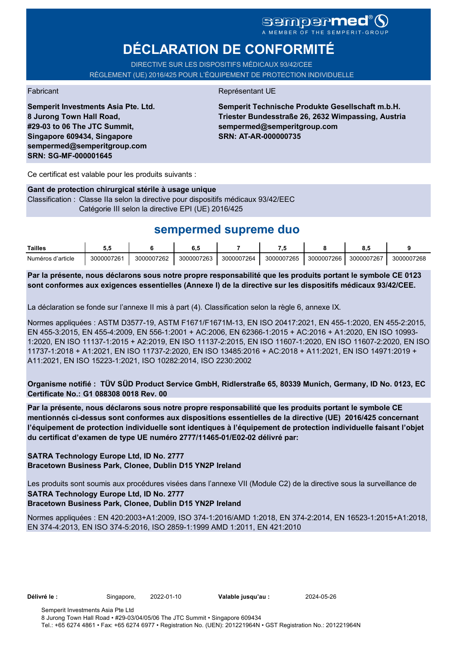# **DÉCLARATION DE CONFORMITÉ**

DIRECTIVE SUR LES DISPOSITIFS MÉDICAUX 93/42/CEE RÈGLEMENT (UE) 2016/425 POUR L'ÉQUIPEMENT DE PROTECTION INDIVIDUELLE

**Semperit Investments Asia Pte. Ltd. 8 Jurong Town Hall Road, #29-03 to 06 The JTC Summit, Singapore 609434, Singapore sempermed@semperitgroup.com SRN: SG-MF-000001645**

#### Fabricant **Représentant UE**

**Semperit Technische Produkte Gesellschaft m.b.H. Triester Bundesstraße 26, 2632 Wimpassing, Austria sempermed@semperitgroup.com SRN: AT-AR-000000735**

Ce certificat est valable pour les produits suivants :

#### **Gant de protection chirurgical stérile à usage unique**

Classification : Classe IIa selon la directive pour dispositifs médicaux 93/42/EEC Catégorie III selon la directive EPI (UE) 2016/425

## **sempermed supreme duo**

| Tailles           |            |            | υ.,        |            |            |            | ν.,        |            |
|-------------------|------------|------------|------------|------------|------------|------------|------------|------------|
| Numéros d'article | 3000007261 | 3000007262 | 3000007263 | 3000007264 | 3000007265 | 3000007266 | 3000007267 | 3000007268 |

**Par la présente, nous déclarons sous notre propre responsabilité que les produits portant le symbole CE 0123 sont conformes aux exigences essentielles (Annexe I) de la directive sur les dispositifs médicaux 93/42/CEE.**

La déclaration se fonde sur l'annexe II mis à part (4). Classification selon la règle 6, annexe IX.

Normes appliquées : ASTM D3577-19, ASTM F1671/F1671M-13, EN ISO 20417:2021, EN 455-1:2020, EN 455-2:2015, EN 455-3:2015, EN 455-4:2009, EN 556-1:2001 + AC:2006, EN 62366-1:2015 + AC:2016 + A1:2020, EN ISO 10993- 1:2020, EN ISO 11137-1:2015 + A2:2019, EN ISO 11137-2:2015, EN ISO 11607-1:2020, EN ISO 11607-2:2020, EN ISO 11737-1:2018 + A1:2021, EN ISO 11737-2:2020, EN ISO 13485:2016 + AC:2018 + A11:2021, EN ISO 14971:2019 + A11:2021, EN ISO 15223-1:2021, ISO 10282:2014, ISO 2230:2002

**Organisme notifié : TÜV SÜD Product Service GmbH, Ridlerstraße 65, 80339 Munich, Germany, ID No. 0123, EC Certificate No.: G1 088308 0018 Rev. 00** 

**Par la présente, nous déclarons sous notre propre responsabilité que les produits portant le symbole CE mentionnés ci-dessus sont conformes aux dispositions essentielles de la directive (UE) 2016/425 concernant l'équipement de protection individuelle sont identiques à l'équipement de protection individuelle faisant l'objet du certificat d'examen de type UE numéro 2777/11465-01/E02-02 délivré par:**

#### **SATRA Technology Europe Ltd, ID No. 2777 Bracetown Business Park, Clonee, Dublin D15 YN2P Ireland**

Les produits sont soumis aux procédures visées dans l'annexe VII (Module C2) de la directive sous la surveillance de **SATRA Technology Europe Ltd, ID No. 2777**

### **Bracetown Business Park, Clonee, Dublin D15 YN2P Ireland**

Normes appliquées : EN 420:2003+A1:2009, ISO 374-1:2016/AMD 1:2018, EN 374-2:2014, EN 16523-1:2015+A1:2018, EN 374-4:2013, EN ISO 374-5:2016, ISO 2859-1:1999 AMD 1:2011, EN 421:2010

**Délivré le :** Singapore, 2022-01-10 **Valable jusqu'au :** 2024-05-26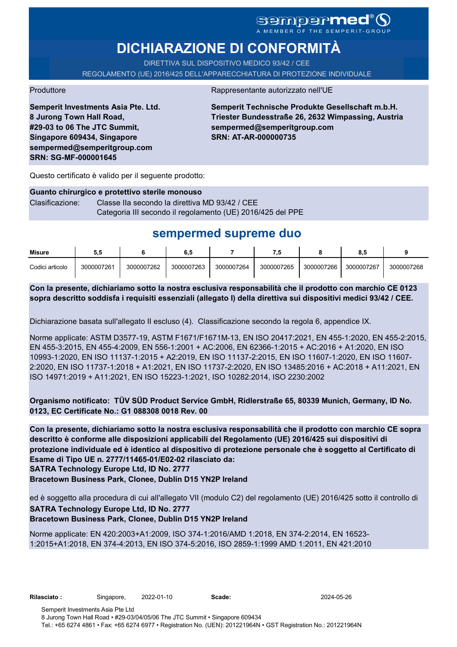### sempermed®( A MEMBER OF THE SEMPERIT-GROUP

# **DICHIARAZIONE DI CONFORMITÀ**

DIRETTIVA SUL DISPOSITIVO MEDICO 93/42 / CEE REGOLAMENTO (UE) 2016/425 DELL'APPARECCHIATURA DI PROTEZIONE INDIVIDUALE

Produttore Rappresentante autorizzato nell'UE

**Semperit Investments Asia Pte. Ltd. 8 Jurong Town Hall Road, #29-03 to 06 The JTC Summit, Singapore 609434, Singapore sempermed@semperitgroup.com SRN: SG-MF-000001645**

**Semperit Technische Produkte Gesellschaft m.b.H. Triester Bundesstraße 26, 2632 Wimpassing, Austria sempermed@semperitgroup.com SRN: AT-AR-000000735**

Questo certificato è valido per il seguente prodotto:

### **Guanto chirurgico e protettivo sterile monouso** Clasificazione: Classe IIa secondo la direttiva MD 93/42 / CEE Categoria III secondo il regolamento (UE) 2016/425 del PPE

# **sempermed supreme duo**

| <b>Misure</b>   | 5.5        |            | 6.5        |            |            |            | 8.5        |            |
|-----------------|------------|------------|------------|------------|------------|------------|------------|------------|
| Codici articolo | 3000007261 | 3000007262 | 3000007263 | 3000007264 | 3000007265 | 3000007266 | 3000007267 | 3000007268 |

**Con la presente, dichiariamo sotto la nostra esclusiva responsabilità che il prodotto con marchio CE 0123 sopra descritto soddisfa i requisiti essenziali (allegato I) della direttiva sui dispositivi medici 93/42 / CEE.**

Dichiarazione basata sull'allegato II escluso (4). Classificazione secondo la regola 6, appendice IX.

Norme applicate: ASTM D3577-19, ASTM F1671/F1671M-13, EN ISO 20417:2021, EN 455-1:2020, EN 455-2:2015, EN 455-3:2015, EN 455-4:2009, EN 556-1:2001 + AC:2006, EN 62366-1:2015 + AC:2016 + A1:2020, EN ISO 10993-1:2020, EN ISO 11137-1:2015 + A2:2019, EN ISO 11137-2:2015, EN ISO 11607-1:2020, EN ISO 11607- 2:2020, EN ISO 11737-1:2018 + A1:2021, EN ISO 11737-2:2020, EN ISO 13485:2016 + AC:2018 + A11:2021, EN ISO 14971:2019 + A11:2021, EN ISO 15223-1:2021, ISO 10282:2014, ISO 2230:2002

**Organismo notificato: TÜV SÜD Product Service GmbH, Ridlerstraße 65, 80339 Munich, Germany, ID No. 0123, EC Certificate No.: G1 088308 0018 Rev. 00** 

**SATRA Technology Europe Ltd, ID No. 2777 Con la presente, dichiariamo sotto la nostra esclusiva responsabilità che il prodotto con marchio CE sopra descritto è conforme alle disposizioni applicabili del Regolamento (UE) 2016/425 sui dispositivi di protezione individuale ed è identico al dispositivo di protezione personale che è soggetto al Certificato di Esame di Tipo UE n. 2777/11465-01/E02-02 rilasciato da:**

**Bracetown Business Park, Clonee, Dublin D15 YN2P Ireland**

ed è soggetto alla procedura di cui all'allegato VII (modulo C2) del regolamento (UE) 2016/425 sotto il controllo di **SATRA Technology Europe Ltd, ID No. 2777**

### **Bracetown Business Park, Clonee, Dublin D15 YN2P Ireland**

Norme applicate: EN 420:2003+A1:2009, ISO 374-1:2016/AMD 1:2018, EN 374-2:2014, EN 16523- 1:2015+A1:2018, EN 374-4:2013, EN ISO 374-5:2016, ISO 2859-1:1999 AMD 1:2011, EN 421:2010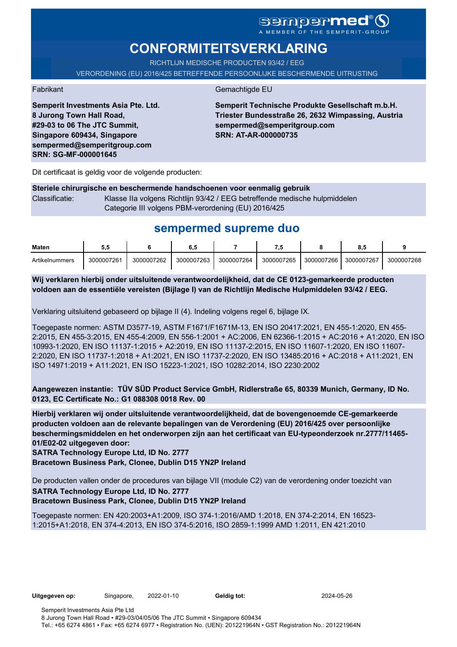# **CONFORMITEITSVERKLARING**

RICHTLIJN MEDISCHE PRODUCTEN 93/42 / EEG

VERORDENING (EU) 2016/425 BETREFFENDE PERSOONLIJKE BESCHERMENDE UITRUSTING

Fabrikant Gemachtigde EU

**Semperit Technische Produkte Gesellschaft m.b.H. Triester Bundesstraße 26, 2632 Wimpassing, Austria sempermed@semperitgroup.com SRN: AT-AR-000000735**

Dit certificaat is geldig voor de volgende producten:

**Semperit Investments Asia Pte. Ltd.**

**8 Jurong Town Hall Road, #29-03 to 06 The JTC Summit, Singapore 609434, Singapore sempermed@semperitgroup.com**

**SRN: SG-MF-000001645**

#### **Steriele chirurgische en beschermende handschoenen voor eenmalig gebruik** Classificatie: Klasse IIa volgens Richtlijn 93/42 / EEG betreffende medische hulpmiddelen Categorie III volgens PBM-verordening (EU) 2016/425

## **sempermed supreme duo**

| Maten          | ບ.ບ        |            | 0.c        |            | - 7        |            | υ.,        |            |
|----------------|------------|------------|------------|------------|------------|------------|------------|------------|
| Artikelnummers | 3000007261 | 3000007262 | 3000007263 | 3000007264 | 3000007265 | 3000007266 | 3000007267 | 3000007268 |

**Wij verklaren hierbij onder uitsluitende verantwoordelijkheid, dat de CE 0123-gemarkeerde producten voldoen aan de essentiële vereisten (Bijlage I) van de Richtlijn Medische Hulpmiddelen 93/42 / EEG.**

Verklaring uitsluitend gebaseerd op bijlage II (4). Indeling volgens regel 6, bijlage IX.

Toegepaste normen: ASTM D3577-19, ASTM F1671/F1671M-13, EN ISO 20417:2021, EN 455-1:2020, EN 455- 2:2015, EN 455-3:2015, EN 455-4:2009, EN 556-1:2001 + AC:2006, EN 62366-1:2015 + AC:2016 + A1:2020, EN ISO 10993-1:2020, EN ISO 11137-1:2015 + A2:2019, EN ISO 11137-2:2015, EN ISO 11607-1:2020, EN ISO 11607- 2:2020, EN ISO 11737-1:2018 + A1:2021, EN ISO 11737-2:2020, EN ISO 13485:2016 + AC:2018 + A11:2021, EN ISO 14971:2019 + A11:2021, EN ISO 15223-1:2021, ISO 10282:2014, ISO 2230:2002

**Aangewezen instantie: TÜV SÜD Product Service GmbH, Ridlerstraße 65, 80339 Munich, Germany, ID No. 0123, EC Certificate No.: G1 088308 0018 Rev. 00** 

**Hierbij verklaren wij onder uitsluitende verantwoordelijkheid, dat de bovengenoemde CE-gemarkeerde producten voldoen aan de relevante bepalingen van de Verordening (EU) 2016/425 over persoonlijke beschermingsmiddelen en het onderworpen zijn aan het certificaat van EU-typeonderzoek nr.2777/11465- 01/E02-02 uitgegeven door:**

**SATRA Technology Europe Ltd, ID No. 2777**

**Bracetown Business Park, Clonee, Dublin D15 YN2P Ireland**

De producten vallen onder de procedures van bijlage VII (module C2) van de verordening onder toezicht van **SATRA Technology Europe Ltd, ID No. 2777 Bracetown Business Park, Clonee, Dublin D15 YN2P Ireland**

Toegepaste normen: EN 420:2003+A1:2009, ISO 374-1:2016/AMD 1:2018, EN 374-2:2014, EN 16523- 1:2015+A1:2018, EN 374-4:2013, EN ISO 374-5:2016, ISO 2859-1:1999 AMD 1:2011, EN 421:2010

**Uitgegeven op:** Singapore, 2022-01-10 **Geldig tot:** 2024-05-26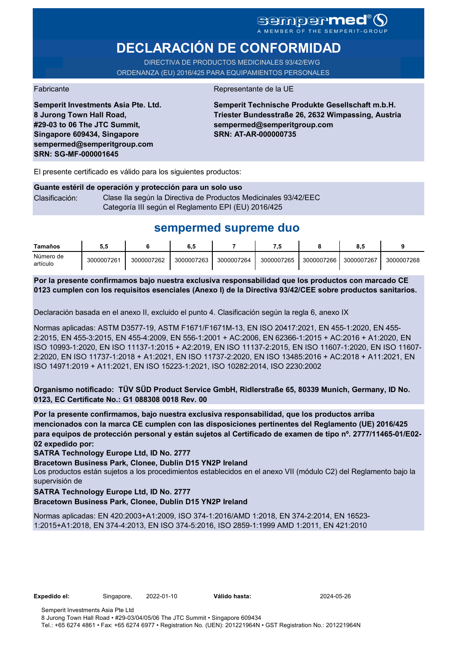### **Sempermed®** A MEMBER OF THE SEMPERIT-GROUP

# **DECLARACIÓN DE CONFORMIDAD**

DIRECTIVA DE PRODUCTOS MEDICINALES 93/42/EWG ORDENANZA (EU) 2016/425 PARA EQUIPAMIENTOS PERSONALES

**Semperit Investments Asia Pte. Ltd.**

**8 Jurong Town Hall Road, #29-03 to 06 The JTC Summit, Singapore 609434, Singapore sempermed@semperitgroup.com**

**SRN: SG-MF-000001645**

Fabricante de la UE

**Semperit Technische Produkte Gesellschaft m.b.H. Triester Bundesstraße 26, 2632 Wimpassing, Austria sempermed@semperitgroup.com SRN: AT-AR-000000735**

El presente certificado es válido para los siguientes productos:

#### **Guante estéril de operación y protección para un solo uso** Clasificación: Clase Ila según la Directiva de Productos Medicinales 93/42/EEC Categoría III según el Reglamento EPI (EU) 2016/425

## **sempermed supreme duo**

| Tamaños               | ນ.ເ        |            | o. .       |            |            |            | O<br>.ა.   |            |
|-----------------------|------------|------------|------------|------------|------------|------------|------------|------------|
| Número de<br>artículo | 3000007261 | 3000007262 | 3000007263 | 3000007264 | 3000007265 | 3000007266 | 3000007267 | 3000007268 |

**Por la presente confirmamos bajo nuestra exclusiva responsabilidad que los productos con marcado CE 0123 cumplen con los requisitos esenciales (Anexo I) de la Directiva 93/42/CEE sobre productos sanitarios.**

Declaración basada en el anexo II, excluido el punto 4. Clasificación según la regla 6, anexo IX

Normas aplicadas: ASTM D3577-19, ASTM F1671/F1671M-13, EN ISO 20417:2021, EN 455-1:2020, EN 455- 2:2015, EN 455-3:2015, EN 455-4:2009, EN 556-1:2001 + AC:2006, EN 62366-1:2015 + AC:2016 + A1:2020, EN ISO 10993-1:2020, EN ISO 11137-1:2015 + A2:2019, EN ISO 11137-2:2015, EN ISO 11607-1:2020, EN ISO 11607- 2:2020, EN ISO 11737-1:2018 + A1:2021, EN ISO 11737-2:2020, EN ISO 13485:2016 + AC:2018 + A11:2021, EN ISO 14971:2019 + A11:2021, EN ISO 15223-1:2021, ISO 10282:2014, ISO 2230:2002

**Organismo notificado: TÜV SÜD Product Service GmbH, Ridlerstraße 65, 80339 Munich, Germany, ID No. 0123, EC Certificate No.: G1 088308 0018 Rev. 00** 

**Por la presente confirmamos, bajo nuestra exclusiva responsabilidad, que los productos arriba mencionados con la marca CE cumplen con las disposiciones pertinentes del Reglamento (UE) 2016/425 para equipos de protección personal y están sujetos al Certificado de examen de tipo nº. 2777/11465-01/E02- 02 expedido por:**

**SATRA Technology Europe Ltd, ID No. 2777**

**Bracetown Business Park, Clonee, Dublin D15 YN2P Ireland**

Los productos están sujetos a los procedimientos establecidos en el anexo VII (módulo C2) del Reglamento bajo la supervisión de

#### **SATRA Technology Europe Ltd, ID No. 2777**

**Bracetown Business Park, Clonee, Dublin D15 YN2P Ireland**

Normas aplicadas: EN 420:2003+A1:2009, ISO 374-1:2016/AMD 1:2018, EN 374-2:2014, EN 16523- 1:2015+A1:2018, EN 374-4:2013, EN ISO 374-5:2016, ISO 2859-1:1999 AMD 1:2011, EN 421:2010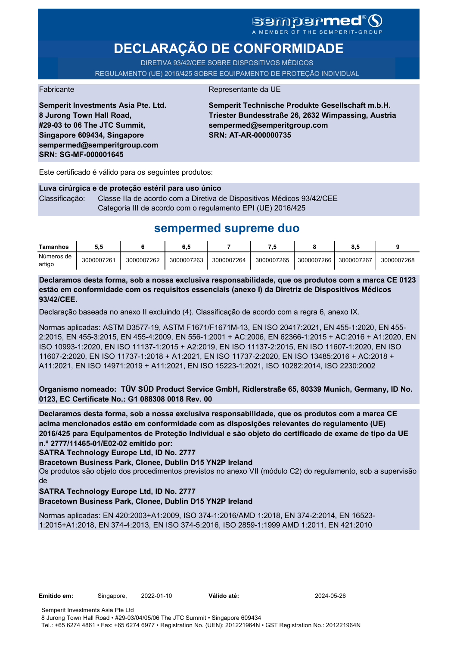# SGMDGP**MCC**<sup>®</sup>

# **DECLARAÇÃO DE CONFORMIDADE**

DIRETIVA 93/42/CEE SOBRE DISPOSITIVOS MÉDICOS REGULAMENTO (UE) 2016/425 SOBRE EQUIPAMENTO DE PROTEÇÃO INDIVIDUAL

#### Fabricante **Representante da UE**

**Semperit Investments Asia Pte. Ltd. 8 Jurong Town Hall Road, #29-03 to 06 The JTC Summit, Singapore 609434, Singapore sempermed@semperitgroup.com SRN: SG-MF-000001645**

**Semperit Technische Produkte Gesellschaft m.b.H. Triester Bundesstraße 26, 2632 Wimpassing, Austria sempermed@semperitgroup.com SRN: AT-AR-000000735**

Este certificado é válido para os seguintes produtos:

**Luva cirúrgica e de proteção estéril para uso único** Classificação: Classe IIa de acordo com a Diretiva de Dispositivos Médicos 93/42/CEE Categoria III de acordo com o regulamento EPI (UE) 2016/425

## **sempermed supreme duo**

| <b>Tamanhos</b>      | 5.5        |            | 6,5        |            | - 5        |            | о<br>о     |            |
|----------------------|------------|------------|------------|------------|------------|------------|------------|------------|
| Números de<br>artigo | 3000007261 | 3000007262 | 3000007263 | 3000007264 | 3000007265 | 3000007266 | 3000007267 | 3000007268 |

**Declaramos desta forma, sob a nossa exclusiva responsabilidade, que os produtos com a marca CE 0123 estão em conformidade com os requisitos essenciais (anexo I) da Diretriz de Dispositivos Médicos 93/42/CEE.**

Declaração baseada no anexo II excluindo (4). Classificação de acordo com a regra 6, anexo IX.

Normas aplicadas: ASTM D3577-19, ASTM F1671/F1671M-13, EN ISO 20417:2021, EN 455-1:2020, EN 455- 2:2015, EN 455-3:2015, EN 455-4:2009, EN 556-1:2001 + AC:2006, EN 62366-1:2015 + AC:2016 + A1:2020, EN ISO 10993-1:2020, EN ISO 11137-1:2015 + A2:2019, EN ISO 11137-2:2015, EN ISO 11607-1:2020, EN ISO 11607-2:2020, EN ISO 11737-1:2018 + A1:2021, EN ISO 11737-2:2020, EN ISO 13485:2016 + AC:2018 + A11:2021, EN ISO 14971:2019 + A11:2021, EN ISO 15223-1:2021, ISO 10282:2014, ISO 2230:2002

**Organismo nomeado: TÜV SÜD Product Service GmbH, Ridlerstraße 65, 80339 Munich, Germany, ID No. 0123, EC Certificate No.: G1 088308 0018 Rev. 00** 

**Declaramos desta forma, sob a nossa exclusiva responsabilidade, que os produtos com a marca CE acima mencionados estão em conformidade com as disposições relevantes do regulamento (UE) 2016/425 para Equipamentos de Proteção Individual e são objeto do certificado de exame de tipo da UE n.º 2777/11465-01/E02-02 emitido por:**

**SATRA Technology Europe Ltd, ID No. 2777**

**Bracetown Business Park, Clonee, Dublin D15 YN2P Ireland**

Os produtos são objeto dos procedimentos previstos no anexo VII (módulo C2) do regulamento, sob a supervisão de

**SATRA Technology Europe Ltd, ID No. 2777**

**Bracetown Business Park, Clonee, Dublin D15 YN2P Ireland**

Normas aplicadas: EN 420:2003+A1:2009, ISO 374-1:2016/AMD 1:2018, EN 374-2:2014, EN 16523- 1:2015+A1:2018, EN 374-4:2013, EN ISO 374-5:2016, ISO 2859-1:1999 AMD 1:2011, EN 421:2010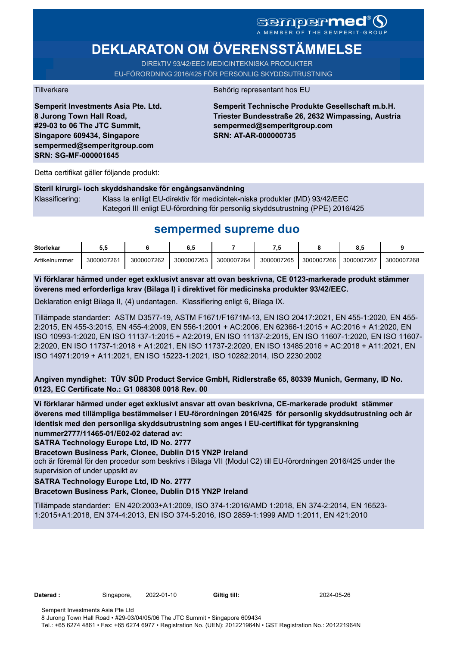# **DEKLARATON OM ÖVERENSSTÄMMELSE**

DIREkTIV 93/42/EEC MEDICINTEKNISKA PRODUKTER EU-FÖRORDNING 2016/425 FÖR PERSONLIG SKYDDSUTRUSTNING

**Semperit Investments Asia Pte. Ltd. 8 Jurong Town Hall Road, #29-03 to 06 The JTC Summit, Singapore 609434, Singapore sempermed@semperitgroup.com SRN: SG-MF-000001645**

#### Tillverkare Behörig representant hos EU

**Semperit Technische Produkte Gesellschaft m.b.H. Triester Bundesstraße 26, 2632 Wimpassing, Austria sempermed@semperitgroup.com SRN: AT-AR-000000735**

Detta certifikat gäller följande produkt:

### **Steril kirurgi- ioch skyddshandske för engångsanvändning**  Klassificering: Klass Ia enlligt EU-direktiv för medicintek-niska produkter (MD) 93/42/EEC Kategori III enligt EU-förordning för personlig skyddsutrustning (PPE) 2016/425

## **sempermed supreme duo**

| <b>Storlekar</b> | J.J        |            | 6,5        |            |            |            | $\bullet$<br>o |            |
|------------------|------------|------------|------------|------------|------------|------------|----------------|------------|
| Artikelnummer    | 3000007261 | 3000007262 | 3000007263 | 3000007264 | 3000007265 | 3000007266 | 3000007267     | 3000007268 |

**Vi förklarar härmed under eget exklusivt ansvar att ovan beskrivna, CE 0123-markerade produkt stämmer överens med erforderliga krav (Bilaga I) i direktivet för medicinska produkter 93/42/EEC.**

Deklaration enligt Bilaga II, (4) undantagen. Klassifiering enligt 6, Bilaga IX.

Tillämpade standarder: ASTM D3577-19, ASTM F1671/F1671M-13, EN ISO 20417:2021, EN 455-1:2020, EN 455- 2:2015, EN 455-3:2015, EN 455-4:2009, EN 556-1:2001 + AC:2006, EN 62366-1:2015 + AC:2016 + A1:2020, EN ISO 10993-1:2020, EN ISO 11137-1:2015 + A2:2019, EN ISO 11137-2:2015, EN ISO 11607-1:2020, EN ISO 11607- 2:2020, EN ISO 11737-1:2018 + A1:2021, EN ISO 11737-2:2020, EN ISO 13485:2016 + AC:2018 + A11:2021, EN ISO 14971:2019 + A11:2021, EN ISO 15223-1:2021, ISO 10282:2014, ISO 2230:2002

**Angiven myndighet: TÜV SÜD Product Service GmbH, Ridlerstraße 65, 80339 Munich, Germany, ID No. 0123, EC Certificate No.: G1 088308 0018 Rev. 00** 

**Vi förklarar härmed under eget exklusivt ansvar att ovan beskrivna, CE-markerade produkt stämmer överens med tillämpliga bestämmelser i EU-förordningen 2016/425 för personlig skyddsutrustning och är identisk med den personliga skyddsutrustning som anges i EU-certifikat för typgranskning nummer2777/11465-01/E02-02 daterad av:**

**SATRA Technology Europe Ltd, ID No. 2777**

**Bracetown Business Park, Clonee, Dublin D15 YN2P Ireland**

och är föremål för den procedur som beskrivs i Bilaga VII (Modul C2) till EU-förordningen 2016/425 under the supervision of under uppsikt av

#### **SATRA Technology Europe Ltd, ID No. 2777**

#### **Bracetown Business Park, Clonee, Dublin D15 YN2P Ireland**

Tillämpade standarder: EN 420:2003+A1:2009, ISO 374-1:2016/AMD 1:2018, EN 374-2:2014, EN 16523- 1:2015+A1:2018, EN 374-4:2013, EN ISO 374-5:2016, ISO 2859-1:1999 AMD 1:2011, EN 421:2010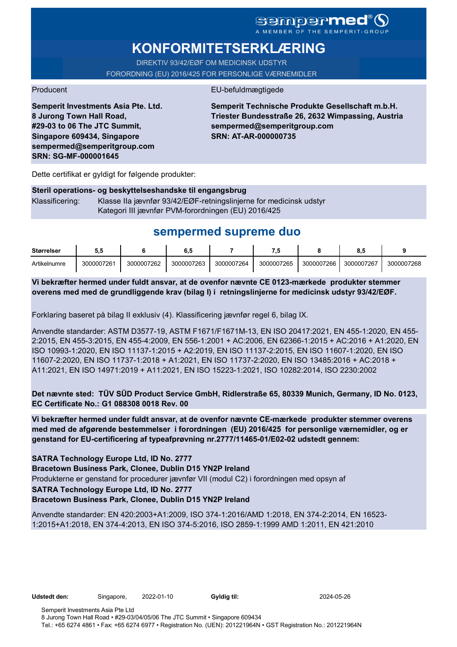# **KONFORMITETSERKLÆRING**

DIREKTIV 93/42/EØF OM MEDICINSK UDSTYR FORORDNING (EU) 2016/425 FOR PERSONLIGE VÆRNEMIDLER

### Producent EU-befuldmægtigede

**Semperit Investments Asia Pte. Ltd. 8 Jurong Town Hall Road, #29-03 to 06 The JTC Summit, Singapore 609434, Singapore sempermed@semperitgroup.com SRN: SG-MF-000001645**

**Semperit Technische Produkte Gesellschaft m.b.H. Triester Bundesstraße 26, 2632 Wimpassing, Austria sempermed@semperitgroup.com SRN: AT-AR-000000735**

Dette certifikat er gyldigt for følgende produkter:

### **Steril operations- og beskyttelseshandske til engangsbrug** Klassificering: Klasse IIa jævnfør 93/42/EØF-retningslinjerne for medicinsk udstyr Kategori III jævnfør PVM-forordningen (EU) 2016/425

## **sempermed supreme duo**

| <b>Størrelser</b> | IJ.i       |            | 0.J        |            |            |            |            |            |
|-------------------|------------|------------|------------|------------|------------|------------|------------|------------|
| Artikelnumre      | 3000007261 | 3000007262 | 3000007263 | 3000007264 | 3000007265 | 3000007266 | 3000007267 | 3000007268 |

**Vi bekræfter hermed under fuldt ansvar, at de ovenfor nævnte CE 0123-mærkede produkter stemmer overens med med de grundliggende krav (bilag I) i retningslinjerne for medicinsk udstyr 93/42/EØF.**

Forklaring baseret på bilag II exklusiv (4). Klassificering jævnfør regel 6, bilag IX.

Anvendte standarder: ASTM D3577-19, ASTM F1671/F1671M-13, EN ISO 20417:2021, EN 455-1:2020, EN 455- 2:2015, EN 455-3:2015, EN 455-4:2009, EN 556-1:2001 + AC:2006, EN 62366-1:2015 + AC:2016 + A1:2020, EN ISO 10993-1:2020, EN ISO 11137-1:2015 + A2:2019, EN ISO 11137-2:2015, EN ISO 11607-1:2020, EN ISO 11607-2:2020, EN ISO 11737-1:2018 + A1:2021, EN ISO 11737-2:2020, EN ISO 13485:2016 + AC:2018 + A11:2021, EN ISO 14971:2019 + A11:2021, EN ISO 15223-1:2021, ISO 10282:2014, ISO 2230:2002

**Det nævnte sted: TÜV SÜD Product Service GmbH, Ridlerstraße 65, 80339 Munich, Germany, ID No. 0123, EC Certificate No.: G1 088308 0018 Rev. 00** 

**Vi bekræfter hermed under fuldt ansvar, at de ovenfor nævnte CE-mærkede produkter stemmer overens med med de afgørende bestemmelser i forordningen (EU) 2016/425 for personlige værnemidler, og er genstand for EU-certificering af typeafprøvning nr.2777/11465-01/E02-02 udstedt gennem:**

### **SATRA Technology Europe Ltd, ID No. 2777**

**Bracetown Business Park, Clonee, Dublin D15 YN2P Ireland**

Produkterne er genstand for procedurer jævnfør VII (modul C2) i forordningen med opsyn af

#### **SATRA Technology Europe Ltd, ID No. 2777**

**Bracetown Business Park, Clonee, Dublin D15 YN2P Ireland**

Anvendte standarder: EN 420:2003+A1:2009, ISO 374-1:2016/AMD 1:2018, EN 374-2:2014, EN 16523- 1:2015+A1:2018, EN 374-4:2013, EN ISO 374-5:2016, ISO 2859-1:1999 AMD 1:2011, EN 421:2010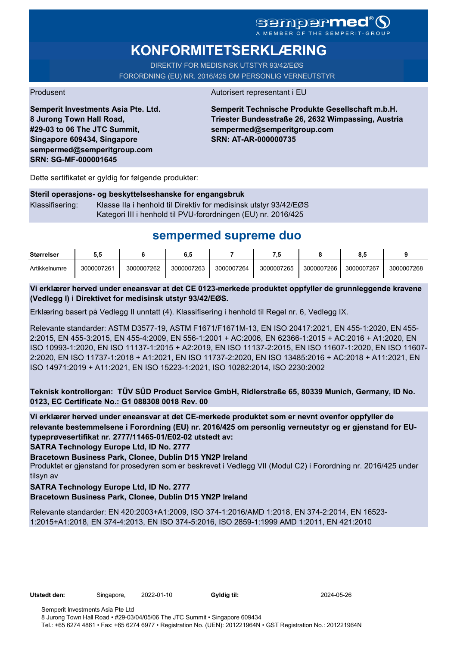### **Sempermed** MEMBER OF THE SEMPERIT-GROUP

# **KONFORMITETSERKLÆRING**

DIREKTIV FOR MEDISINSK UTSTYR 93/42/EØS FORORDNING (EU) NR. 2016/425 OM PERSONLIG VERNEUTSTYR

#### Produsent Autorisert representant i EU

**Semperit Investments Asia Pte. Ltd. 8 Jurong Town Hall Road, #29-03 to 06 The JTC Summit, Singapore 609434, Singapore sempermed@semperitgroup.com SRN: SG-MF-000001645**

**Semperit Technische Produkte Gesellschaft m.b.H. Triester Bundesstraße 26, 2632 Wimpassing, Austria sempermed@semperitgroup.com SRN: AT-AR-000000735**

Dette sertifikatet er gyldig for følgende produkter:

#### **Steril operasjons- og beskyttelseshanske for engangsbruk**

Klassifisering: Klasse IIa i henhold til Direktiv for medisinsk utstyr 93/42/EØS Kategori III i henhold til PVU-forordningen (EU) nr. 2016/425

## **sempermed supreme duo**

| <b>Størrelser</b> | J.v        |            | υ          |            |            |            | 0.i        |            |
|-------------------|------------|------------|------------|------------|------------|------------|------------|------------|
| Artikkelnumre     | 3000007261 | 3000007262 | 3000007263 | 3000007264 | 3000007265 | 3000007266 | 3000007267 | 3000007268 |

#### **Vi erklærer herved under eneansvar at det CE 0123-merkede produktet oppfyller de grunnleggende kravene (Vedlegg I) i Direktivet for medisinsk utstyr 93/42/EØS.**

Erklæring basert på Vedlegg II unntatt (4). Klassifisering i henhold til Regel nr. 6, Vedlegg IX.

Relevante standarder: ASTM D3577-19, ASTM F1671/F1671M-13, EN ISO 20417:2021, EN 455-1:2020, EN 455- 2:2015, EN 455-3:2015, EN 455-4:2009, EN 556-1:2001 + AC:2006, EN 62366-1:2015 + AC:2016 + A1:2020, EN ISO 10993-1:2020, EN ISO 11137-1:2015 + A2:2019, EN ISO 11137-2:2015, EN ISO 11607-1:2020, EN ISO 11607- 2:2020, EN ISO 11737-1:2018 + A1:2021, EN ISO 11737-2:2020, EN ISO 13485:2016 + AC:2018 + A11:2021, EN ISO 14971:2019 + A11:2021, EN ISO 15223-1:2021, ISO 10282:2014, ISO 2230:2002

**Teknisk kontrollorgan: TÜV SÜD Product Service GmbH, Ridlerstraße 65, 80339 Munich, Germany, ID No. 0123, EC Certificate No.: G1 088308 0018 Rev. 00** 

**Vi erklærer herved under eneansvar at det CE-merkede produktet som er nevnt ovenfor oppfyller de relevante bestemmelsene i Forordning (EU) nr. 2016/425 om personlig verneutstyr og er gjenstand for EUtypeprøvesertifikat nr. 2777/11465-01/E02-02 utstedt av:**

**SATRA Technology Europe Ltd, ID No. 2777**

**Bracetown Business Park, Clonee, Dublin D15 YN2P Ireland**

Produktet er gjenstand for prosedyren som er beskrevet i Vedlegg VII (Modul C2) i Forordning nr. 2016/425 under tilsyn av

#### **SATRA Technology Europe Ltd, ID No. 2777**

**Bracetown Business Park, Clonee, Dublin D15 YN2P Ireland**

Relevante standarder: EN 420:2003+A1:2009, ISO 374-1:2016/AMD 1:2018, EN 374-2:2014, EN 16523- 1:2015+A1:2018, EN 374-4:2013, EN ISO 374-5:2016, ISO 2859-1:1999 AMD 1:2011, EN 421:2010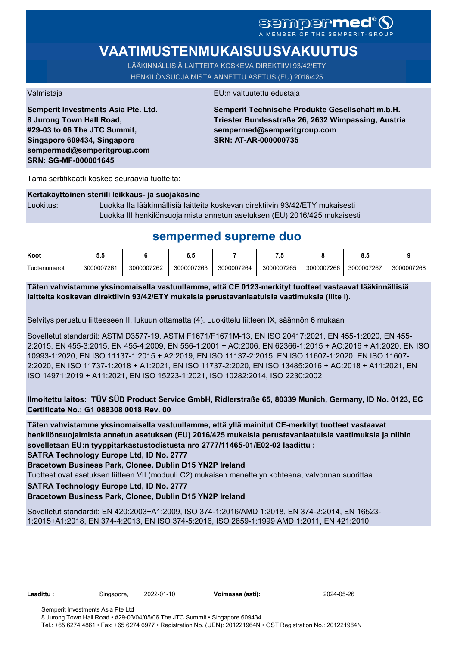# SCMDOCPMCO

# **VAATIMUSTENMUKAISUUSVAKUUTUS**

LÄÄKINNÄLLISIÄ LAITTEITA KOSKEVA DIREKTIIVI 93/42/ETY HENKILÖNSUOJAIMISTA ANNETTU ASETUS (EU) 2016/425

**Semperit Investments Asia Pte. Ltd. 8 Jurong Town Hall Road, #29-03 to 06 The JTC Summit, Singapore 609434, Singapore sempermed@semperitgroup.com SRN: SG-MF-000001645**

#### Valmistaja EU:n valtuutettu edustaja

**Semperit Technische Produkte Gesellschaft m.b.H. Triester Bundesstraße 26, 2632 Wimpassing, Austria sempermed@semperitgroup.com SRN: AT-AR-000000735**

Tämä sertifikaatti koskee seuraavia tuotteita:

#### **Kertakäyttöinen steriili leikkaus- ja suojakäsine**

Luokitus: Luokka IIa lääkinnällisiä laitteita koskevan direktiivin 93/42/ETY mukaisesti Luokka III henkilönsuojaimista annetun asetuksen (EU) 2016/425 mukaisesti

## **sempermed supreme duo**

| Koot         | u.         |            | ο          |            | - 7        |            | u.,        |            |
|--------------|------------|------------|------------|------------|------------|------------|------------|------------|
| ⊺uotenumerot | 3000007261 | 3000007262 | 3000007263 | 3000007264 | 3000007265 | 3000007266 | 3000007267 | 3000007268 |

**Täten vahvistamme yksinomaisella vastuullamme, että CE 0123-merkityt tuotteet vastaavat lääkinnällisiä laitteita koskevan direktiivin 93/42/ETY mukaisia perustavanlaatuisia vaatimuksia (liite I).**

Selvitys perustuu liitteeseen II, lukuun ottamatta (4). Luokittelu liitteen IX, säännön 6 mukaan

Sovelletut standardit: ASTM D3577-19, ASTM F1671/F1671M-13, EN ISO 20417:2021, EN 455-1:2020, EN 455- 2:2015, EN 455-3:2015, EN 455-4:2009, EN 556-1:2001 + AC:2006, EN 62366-1:2015 + AC:2016 + A1:2020, EN ISO 10993-1:2020, EN ISO 11137-1:2015 + A2:2019, EN ISO 11137-2:2015, EN ISO 11607-1:2020, EN ISO 11607- 2:2020, EN ISO 11737-1:2018 + A1:2021, EN ISO 11737-2:2020, EN ISO 13485:2016 + AC:2018 + A11:2021, EN ISO 14971:2019 + A11:2021, EN ISO 15223-1:2021, ISO 10282:2014, ISO 2230:2002

### **Ilmoitettu laitos: TÜV SÜD Product Service GmbH, Ridlerstraße 65, 80339 Munich, Germany, ID No. 0123, EC Certificate No.: G1 088308 0018 Rev. 00**

**Täten vahvistamme yksinomaisella vastuullamme, että yllä mainitut CE-merkityt tuotteet vastaavat henkilönsuojaimista annetun asetuksen (EU) 2016/425 mukaisia perustavanlaatuisia vaatimuksia ja niihin sovelletaan EU:n tyyppitarkastustodistusta nro 2777/11465-01/E02-02 laadittu :**

**SATRA Technology Europe Ltd, ID No. 2777**

**Bracetown Business Park, Clonee, Dublin D15 YN2P Ireland**

Tuotteet ovat asetuksen liitteen VII (moduuli C2) mukaisen menettelyn kohteena, valvonnan suorittaa

**SATRA Technology Europe Ltd, ID No. 2777**

#### **Bracetown Business Park, Clonee, Dublin D15 YN2P Ireland**

Sovelletut standardit: EN 420:2003+A1:2009, ISO 374-1:2016/AMD 1:2018, EN 374-2:2014, EN 16523- 1:2015+A1:2018, EN 374-4:2013, EN ISO 374-5:2016, ISO 2859-1:1999 AMD 1:2011, EN 421:2010

**Laadittu :** Singapore, 2022-01-10 **Voimassa (asti):** 2024-05-26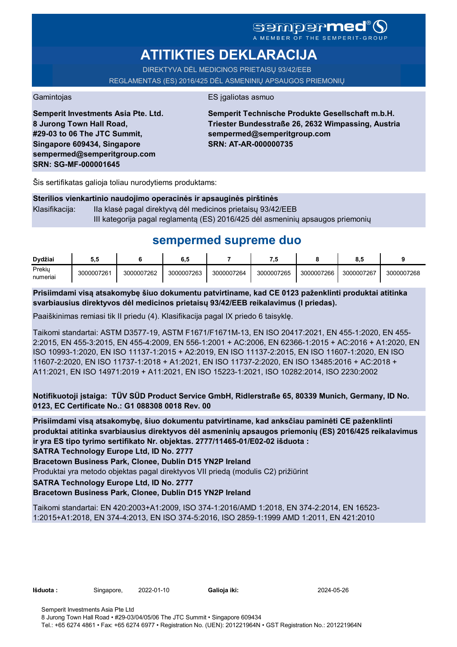## Sempermed A MEMBER OF THE SEMPERIT-GROUP

# **ATITIKTIES DEKLARACIJA**

DIREKTYVA DĖL MEDICINOS PRIETAISŲ 93/42/EEB REGLAMENTAS (ES) 2016/425 DĖL ASMENINIŲ APSAUGOS PRIEMONIŲ

Gamintojas **ES** įgaliotas asmuo

**Semperit Investments Asia Pte. Ltd. 8 Jurong Town Hall Road, #29-03 to 06 The JTC Summit, Singapore 609434, Singapore sempermed@semperitgroup.com SRN: SG-MF-000001645**

**Semperit Technische Produkte Gesellschaft m.b.H. Triester Bundesstraße 26, 2632 Wimpassing, Austria sempermed@semperitgroup.com SRN: AT-AR-000000735**

Šis sertifikatas galioja toliau nurodytiems produktams:

|                  | Sterilios vienkartinio naudojimo operacinės ir apsauginės pirštinės            |
|------------------|--------------------------------------------------------------------------------|
| Klasifikaciia: l | Ila klasė pagal direktyvą dėl medicinos prietaisų 93/42/EEB                    |
|                  | III kategorija pagal reglamentą (ES) 2016/425 dėl asmeninių apsaugos priemonių |

# **sempermed supreme duo**

| Dvdžiai            | 5.5        |            | 6.5        |            | 7.5        |            | 0<br>o.a   |            |
|--------------------|------------|------------|------------|------------|------------|------------|------------|------------|
| Prekiy<br>numeriai | 3000007261 | 3000007262 | 3000007263 | 3000007264 | 3000007265 | 3000007266 | 3000007267 | 3000007268 |

**Prisiimdami visą atsakomybę šiuo dokumentu patvirtiname, kad CE 0123 paženklinti produktai atitinka svarbiausius direktyvos dėl medicinos prietaisų 93/42/EEB reikalavimus (I priedas).**

Paaiškinimas remiasi tik II priedu (4). Klasifikacija pagal IX priedo 6 taisyklę.

Taikomi standartai: ASTM D3577-19, ASTM F1671/F1671M-13, EN ISO 20417:2021, EN 455-1:2020, EN 455- 2:2015, EN 455-3:2015, EN 455-4:2009, EN 556-1:2001 + AC:2006, EN 62366-1:2015 + AC:2016 + A1:2020, EN ISO 10993-1:2020, EN ISO 11137-1:2015 + A2:2019, EN ISO 11137-2:2015, EN ISO 11607-1:2020, EN ISO 11607-2:2020, EN ISO 11737-1:2018 + A1:2021, EN ISO 11737-2:2020, EN ISO 13485:2016 + AC:2018 + A11:2021, EN ISO 14971:2019 + A11:2021, EN ISO 15223-1:2021, ISO 10282:2014, ISO 2230:2002

**Notifikuotoji įstaiga: TÜV SÜD Product Service GmbH, Ridlerstraße 65, 80339 Munich, Germany, ID No. 0123, EC Certificate No.: G1 088308 0018 Rev. 00** 

**Prisiimdami visą atsakomybę, šiuo dokumentu patvirtiname, kad anksčiau paminėti CE paženklinti produktai atitinka svarbiausius direktyvos dėl asmeninių apsaugos priemonių (ES) 2016/425 reikalavimus ir yra ES tipo tyrimo sertifikato Nr. objektas. 2777/11465-01/E02-02 išduota :**

**SATRA Technology Europe Ltd, ID No. 2777**

**Bracetown Business Park, Clonee, Dublin D15 YN2P Ireland**

Produktai yra metodo objektas pagal direktyvos VII priedą (modulis C2) prižiūrint

**SATRA Technology Europe Ltd, ID No. 2777**

### **Bracetown Business Park, Clonee, Dublin D15 YN2P Ireland**

Taikomi standartai: EN 420:2003+A1:2009, ISO 374-1:2016/AMD 1:2018, EN 374-2:2014, EN 16523- 1:2015+A1:2018, EN 374-4:2013, EN ISO 374-5:2016, ISO 2859-1:1999 AMD 1:2011, EN 421:2010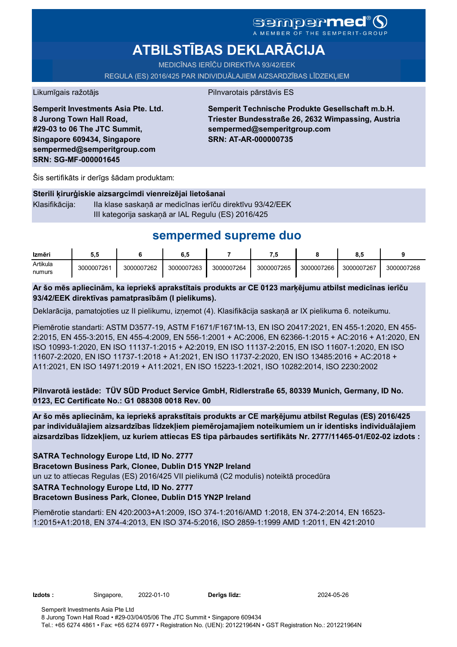## sempermed A MEMBER OF THE SEMPERIT-GROUP

# **ATBILSTĪBAS DEKLARĀCIJA**

MEDICĪNAS IERĪČU DIREKTĪVA 93/42/EEK

REGULA (ES) 2016/425 PAR INDIVIDUĀLAJIEM AIZSARDZĪBAS LĪDZEKĻIEM

Likumīgais ražotājs **Pilnvarotais pārstāvis ES** 

**Semperit Investments Asia Pte. Ltd. 8 Jurong Town Hall Road, #29-03 to 06 The JTC Summit, Singapore 609434, Singapore sempermed@semperitgroup.com SRN: SG-MF-000001645**

**Semperit Technische Produkte Gesellschaft m.b.H. Triester Bundesstraße 26, 2632 Wimpassing, Austria sempermed@semperitgroup.com SRN: AT-AR-000000735**

Šis sertifikāts ir derīgs šādam produktam:

#### **Sterili ķirurģiskie aizsargcimdi vienreizējai lietošanai**

Klasifikācija: IIa klase saskaņā ar medicīnas ierīču direktīvu 93/42/EEK III kategorija saskaņā ar IAL Regulu (ES) 2016/425

## **sempermed supreme duo**

| Izmēri   | ວ.ວ        |            | o          |            | ٠Ñ         |            | $\bullet$<br>о.: |            |
|----------|------------|------------|------------|------------|------------|------------|------------------|------------|
| Artikula | 3000007261 | 3000007262 | 3000007263 | 3000007264 | 3000007265 | 3000007266 | 3000007267       | 3000007268 |
| numurs   |            |            |            |            |            |            |                  |            |

**Ar šo mēs apliecinām, ka iepriekš aprakstītais produkts ar CE 0123 marķējumu atbilst medicīnas ierīču 93/42/EEK direktīvas pamatprasībām (I pielikums).**

Deklarācija, pamatojoties uz II pielikumu, izņemot (4). Klasifikācija saskaņā ar IX pielikuma 6. noteikumu.

Piemērotie standarti: ASTM D3577-19, ASTM F1671/F1671M-13, EN ISO 20417:2021, EN 455-1:2020, EN 455- 2:2015, EN 455-3:2015, EN 455-4:2009, EN 556-1:2001 + AC:2006, EN 62366-1:2015 + AC:2016 + A1:2020, EN ISO 10993-1:2020, EN ISO 11137-1:2015 + A2:2019, EN ISO 11137-2:2015, EN ISO 11607-1:2020, EN ISO 11607-2:2020, EN ISO 11737-1:2018 + A1:2021, EN ISO 11737-2:2020, EN ISO 13485:2016 + AC:2018 + A11:2021, EN ISO 14971:2019 + A11:2021, EN ISO 15223-1:2021, ISO 10282:2014, ISO 2230:2002

**Pilnvarotā iestāde: TÜV SÜD Product Service GmbH, Ridlerstraße 65, 80339 Munich, Germany, ID No. 0123, EC Certificate No.: G1 088308 0018 Rev. 00** 

**Ar šo mēs apliecinām, ka iepriekš aprakstītais produkts ar CE marķējumu atbilst Regulas (ES) 2016/425 par individuālajiem aizsardzības līdzekļiem piemērojamajiem noteikumiem un ir identisks individuālajiem aizsardzības līdzekļiem, uz kuriem attiecas ES tipa pārbaudes sertifikāts Nr. 2777/11465-01/E02-02 izdots :**

**SATRA Technology Europe Ltd, ID No. 2777**

**Bracetown Business Park, Clonee, Dublin D15 YN2P Ireland**

un uz to attiecas Regulas (ES) 2016/425 VII pielikumā (C2 modulis) noteiktā procedūra

#### **SATRA Technology Europe Ltd, ID No. 2777**

#### **Bracetown Business Park, Clonee, Dublin D15 YN2P Ireland**

Piemērotie standarti: EN 420:2003+A1:2009, ISO 374-1:2016/AMD 1:2018, EN 374-2:2014, EN 16523- 1:2015+A1:2018, EN 374-4:2013, EN ISO 374-5:2016, ISO 2859-1:1999 AMD 1:2011, EN 421:2010

**Izdots :** Singapore, 2022-01-10 **Derīgs līdz:** 2024-05-26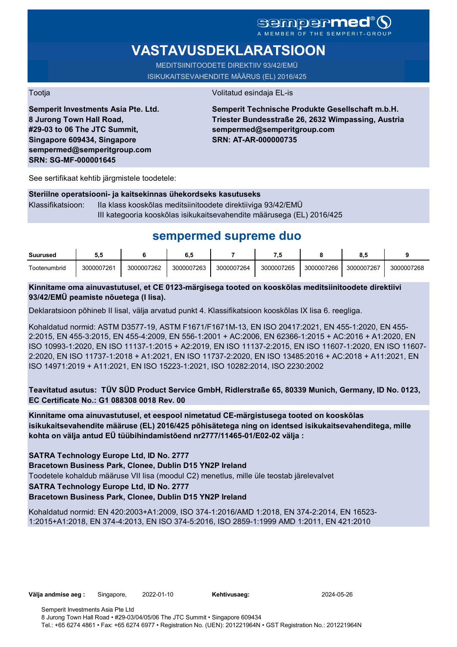### Sempermed A MEMBER OF THE SEMPERIT-GROUP

# **VASTAVUSDEKLARATSIOON**

MEDITSIINITOODETE DIREKTIIV 93/42/EMÜ ISIKUKAITSEVAHENDITE MÄÄRUS (EL) 2016/425

Tootja Volitatud esindaja EL-is

**Semperit Investments Asia Pte. Ltd. 8 Jurong Town Hall Road, #29-03 to 06 The JTC Summit, Singapore 609434, Singapore sempermed@semperitgroup.com SRN: SG-MF-000001645**

**Semperit Technische Produkte Gesellschaft m.b.H. Triester Bundesstraße 26, 2632 Wimpassing, Austria sempermed@semperitgroup.com SRN: AT-AR-000000735**

See sertifikaat kehtib järgmistele toodetele:

#### **Steriilne operatsiooni- ja kaitsekinnas ühekordseks kasutuseks**

Klassifikatsioon: IIa klass kooskõlas meditsiinitoodete direktiiviga 93/42/EMÜ III kategooria kooskõlas isikukaitsevahendite määrusega (EL) 2016/425

# **sempermed supreme duo**

| Suurused            | 5.5        |            | 6,5        |            |            |            |            |            |
|---------------------|------------|------------|------------|------------|------------|------------|------------|------------|
| <b>Tootenumbrid</b> | 3000007261 | 3000007262 | 3000007263 | 3000007264 | 3000007265 | 3000007266 | 3000007267 | 3000007268 |

### **Kinnitame oma ainuvastutusel, et CE 0123-märgisega tooted on kooskõlas meditsiinitoodete direktiivi 93/42/EMÜ peamiste nõuetega (I lisa).**

Deklaratsioon põhineb II lisal, välja arvatud punkt 4. Klassifikatsioon kooskõlas IX lisa 6. reegliga.

Kohaldatud normid: ASTM D3577-19, ASTM F1671/F1671M-13, EN ISO 20417:2021, EN 455-1:2020, EN 455- 2:2015, EN 455-3:2015, EN 455-4:2009, EN 556-1:2001 + AC:2006, EN 62366-1:2015 + AC:2016 + A1:2020, EN ISO 10993-1:2020, EN ISO 11137-1:2015 + A2:2019, EN ISO 11137-2:2015, EN ISO 11607-1:2020, EN ISO 11607- 2:2020, EN ISO 11737-1:2018 + A1:2021, EN ISO 11737-2:2020, EN ISO 13485:2016 + AC:2018 + A11:2021, EN ISO 14971:2019 + A11:2021, EN ISO 15223-1:2021, ISO 10282:2014, ISO 2230:2002

**Teavitatud asutus: TÜV SÜD Product Service GmbH, Ridlerstraße 65, 80339 Munich, Germany, ID No. 0123, EC Certificate No.: G1 088308 0018 Rev. 00** 

**Kinnitame oma ainuvastutusel, et eespool nimetatud CE-märgistusega tooted on kooskõlas isikukaitsevahendite määruse (EL) 2016/425 põhisätetega ning on identsed isikukaitsevahenditega, mille kohta on välja antud EÜ tüübihindamistõend nr2777/11465-01/E02-02 välja :**

**SATRA Technology Europe Ltd, ID No. 2777**

**Bracetown Business Park, Clonee, Dublin D15 YN2P Ireland**

Toodetele kohaldub määruse VII lisa (moodul C2) menetlus, mille üle teostab järelevalvet

**SATRA Technology Europe Ltd, ID No. 2777**

### **Bracetown Business Park, Clonee, Dublin D15 YN2P Ireland**

Kohaldatud normid: EN 420:2003+A1:2009, ISO 374-1:2016/AMD 1:2018, EN 374-2:2014, EN 16523- 1:2015+A1:2018, EN 374-4:2013, EN ISO 374-5:2016, ISO 2859-1:1999 AMD 1:2011, EN 421:2010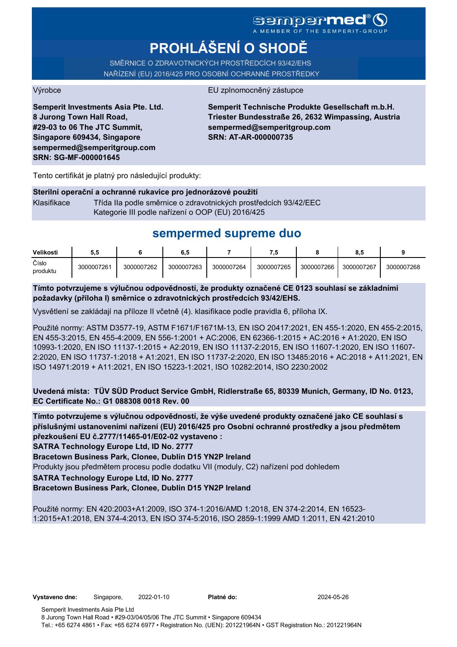### **Sempermed** A MEMBER OF THE SEMPERIT-GROUP

# **PROHLÁŠENÍ O SHODĚ**

SMĚRNICE O ZDRAVOTNICKÝCH PROSTŘEDCÍCH 93/42/EHS NAŘÍZENÍ (EU) 2016/425 PRO OSOBNÍ OCHRANNÉ PROSTŘEDKY

#### Výrobce EU zplnomocněný zástupce

**Semperit Investments Asia Pte. Ltd. 8 Jurong Town Hall Road, #29-03 to 06 The JTC Summit, Singapore 609434, Singapore sempermed@semperitgroup.com SRN: SG-MF-000001645**

**Semperit Technische Produkte Gesellschaft m.b.H. Triester Bundesstraße 26, 2632 Wimpassing, Austria sempermed@semperitgroup.com SRN: AT-AR-000000735**

Tento certifikát je platný pro následující produkty:

#### **Sterilní operační a ochranné rukavice pro jednorázové použití**

Klasifikace Třída IIa podle směrnice o zdravotnických prostředcích 93/42/EEC Kategorie III podle nařízení o OOP (EU) 2016/425

# **sempermed supreme duo**

| Velikosti         | 5.5        |            | υ          |            | 7.L        |            | 8.5        |            |
|-------------------|------------|------------|------------|------------|------------|------------|------------|------------|
| Číslo<br>produktu | 3000007261 | 3000007262 | 3000007263 | 3000007264 | 3000007265 | 3000007266 | 3000007267 | 3000007268 |

**Tímto potvrzujeme s výlučnou odpovědností, že produkty označené CE 0123 souhlasí se základními požadavky (příloha I) směrnice o zdravotnických prostředcích 93/42/EHS.**

Vysvětlení se zakládají na příloze II včetně (4). klasifikace podle pravidla 6, příloha IX.

Použité normy: ASTM D3577-19, ASTM F1671/F1671M-13, EN ISO 20417:2021, EN 455-1:2020, EN 455-2:2015, EN 455-3:2015, EN 455-4:2009, EN 556-1:2001 + AC:2006, EN 62366-1:2015 + AC:2016 + A1:2020, EN ISO 10993-1:2020, EN ISO 11137-1:2015 + A2:2019, EN ISO 11137-2:2015, EN ISO 11607-1:2020, EN ISO 11607- 2:2020, EN ISO 11737-1:2018 + A1:2021, EN ISO 11737-2:2020, EN ISO 13485:2016 + AC:2018 + A11:2021, EN ISO 14971:2019 + A11:2021, EN ISO 15223-1:2021, ISO 10282:2014, ISO 2230:2002

**Uvedená místa: TÜV SÜD Product Service GmbH, Ridlerstraße 65, 80339 Munich, Germany, ID No. 0123, EC Certificate No.: G1 088308 0018 Rev. 00** 

**Tímto potvrzujeme s výlučnou odpovědností, že výše uvedené produkty označené jako CE souhlasí s příslušnými ustanoveními nařízení (EU) 2016/425 pro Osobní ochranné prostředky a jsou předmětem přezkoušení EU č.2777/11465-01/E02-02 vystaveno :**

**SATRA Technology Europe Ltd, ID No. 2777**

**Bracetown Business Park, Clonee, Dublin D15 YN2P Ireland**

Produkty jsou předmětem procesu podle dodatku VII (moduly, C2) nařízení pod dohledem

**SATRA Technology Europe Ltd, ID No. 2777**

**Bracetown Business Park, Clonee, Dublin D15 YN2P Ireland**

Použité normy: EN 420:2003+A1:2009, ISO 374-1:2016/AMD 1:2018, EN 374-2:2014, EN 16523- 1:2015+A1:2018, EN 374-4:2013, EN ISO 374-5:2016, ISO 2859-1:1999 AMD 1:2011, EN 421:2010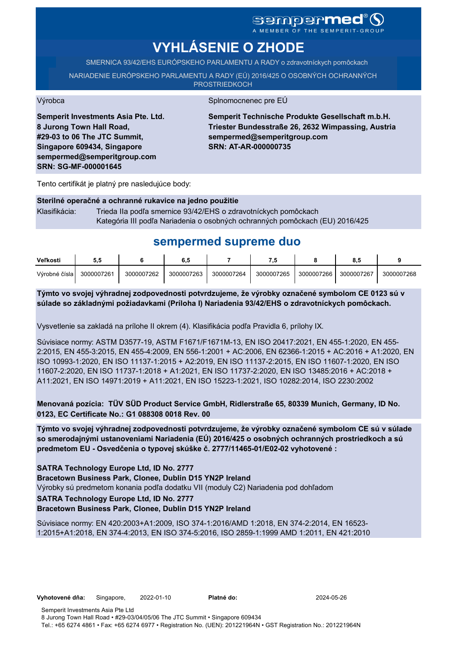# sempermed<sup>®</sup> Q

A MEMBER OF THE SEMPERIT-GROUP

# **VYHLÁSENIE O ZHODE**

SMERNICA 93/42/EHS EURÓPSKEHO PARLAMENTU A RADY o zdravotníckych pomôckach

NARIADENIE EURÓPSKEHO PARLAMENTU A RADY (EÚ) 2016/425 O OSOBNÝCH OCHRANNÝCH **PROSTRIEDKOCH** 

Výrobca Splnomocnenec pre EÚ

**Semperit Investments Asia Pte. Ltd. 8 Jurong Town Hall Road, #29-03 to 06 The JTC Summit, Singapore 609434, Singapore sempermed@semperitgroup.com SRN: SG-MF-000001645**

**Semperit Technische Produkte Gesellschaft m.b.H. Triester Bundesstraße 26, 2632 Wimpassing, Austria sempermed@semperitgroup.com SRN: AT-AR-000000735**

Tento certifikát je platný pre nasledujúce body:

#### **Sterilné operačné a ochranné rukavice na jedno použitie**

Klasifikácia: Trieda IIa podľa smernice 93/42/EHS o zdravotníckych pomôckach Kategória III podľa Nariadenia o osobných ochranných pomôckach (EU) 2016/425

## **sempermed supreme duo**

| Veľkosti      | ວ.ວ        |            | 6.5        |            | - 7        |            | o.t        |            |
|---------------|------------|------------|------------|------------|------------|------------|------------|------------|
| Výrobné čísla | 3000007261 | 3000007262 | 3000007263 | 3000007264 | 3000007265 | 3000007266 | 3000007267 | 3000007268 |

**Týmto vo svojej výhradnej zodpovednosti potvrdzujeme, že výrobky označené symbolom CE 0123 sú v súlade so základnými požiadavkami (Príloha I) Nariadenia 93/42/EHS o zdravotníckych pomôckach.**

Vysvetlenie sa zakladá na prílohe II okrem (4). Klasifikácia podľa Pravidla 6, prílohy IX.

Súvisiace normy: ASTM D3577-19, ASTM F1671/F1671M-13, EN ISO 20417:2021, EN 455-1:2020, EN 455- 2:2015, EN 455-3:2015, EN 455-4:2009, EN 556-1:2001 + AC:2006, EN 62366-1:2015 + AC:2016 + A1:2020, EN ISO 10993-1:2020, EN ISO 11137-1:2015 + A2:2019, EN ISO 11137-2:2015, EN ISO 11607-1:2020, EN ISO 11607-2:2020, EN ISO 11737-1:2018 + A1:2021, EN ISO 11737-2:2020, EN ISO 13485:2016 + AC:2018 + A11:2021, EN ISO 14971:2019 + A11:2021, EN ISO 15223-1:2021, ISO 10282:2014, ISO 2230:2002

**Menovaná pozícia: TÜV SÜD Product Service GmbH, Ridlerstraße 65, 80339 Munich, Germany, ID No. 0123, EC Certificate No.: G1 088308 0018 Rev. 00** 

**Týmto vo svojej výhradnej zodpovednosti potvrdzujeme, že výrobky označené symbolom CE sú v súlade so smerodajnými ustanoveniami Nariadenia (EÚ) 2016/425 o osobných ochranných prostriedkoch a sú predmetom EU - Osvedčenia o typovej skúške č. 2777/11465-01/E02-02 vyhotovené :**

**SATRA Technology Europe Ltd, ID No. 2777**

**Bracetown Business Park, Clonee, Dublin D15 YN2P Ireland**

Výrobky sú predmetom konania podľa dodatku VII (moduly C2) Nariadenia pod dohľadom

**SATRA Technology Europe Ltd, ID No. 2777**

#### **Bracetown Business Park, Clonee, Dublin D15 YN2P Ireland**

Súvisiace normy: EN 420:2003+A1:2009, ISO 374-1:2016/AMD 1:2018, EN 374-2:2014, EN 16523- 1:2015+A1:2018, EN 374-4:2013, EN ISO 374-5:2016, ISO 2859-1:1999 AMD 1:2011, EN 421:2010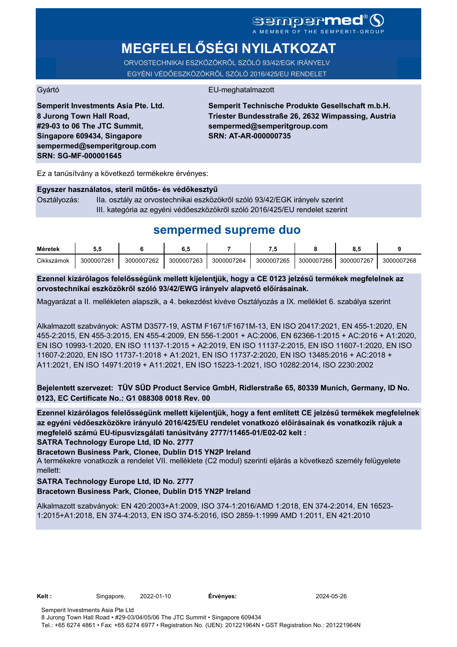# **MEGFELELŐSÉGI NYILATKOZAT**

ORVOSTECHNIKAI ESZKÖZÖKRŐL SZÓLÓ 93/42/EGK IRÁNYELV EGYÉNI VÉDŐESZKÖZÖKRŐL SZÓLÓ 2016/425/EU RENDELET

#### Gyártó EU-meghatalmazott

**Semperit Investments Asia Pte. Ltd. 8 Jurong Town Hall Road, #29-03 to 06 The JTC Summit, Singapore 609434, Singapore sempermed@semperitgroup.com SRN: SG-MF-000001645**

**Semperit Technische Produkte Gesellschaft m.b.H. Triester Bundesstraße 26, 2632 Wimpassing, Austria sempermed@semperitgroup.com SRN: AT-AR-000000735**

Ez a tanúsítvány a következő termékekre érvényes:

#### **Egyszer használatos, steril műtős- és védőkesztyű**

Osztályozás: IIa. osztály az orvostechnikai eszközökről szóló 93/42/EGK irányelv szerint III. kategória az egyéni védőeszközökről szóló 2016/425/EU rendelet szerint

## **sempermed supreme duo**

| Méretek    | J.J        |            | υ          |            | - 7        |            |            |            |
|------------|------------|------------|------------|------------|------------|------------|------------|------------|
| Cikkszámok | 3000007261 | 3000007262 | 3000007263 | 3000007264 | 3000007265 | 3000007266 | 3000007267 | 3000007268 |

**Ezennel kizárólagos felelősségünk mellett kijelentjük, hogy a CE 0123 jelzésű termékek megfelelnek az orvostechnikai eszközökről szóló 93/42/EWG irányelv alapvető előírásainak.**

Magyarázat a II. mellékleten alapszik, a 4. bekezdést kivéve Osztályozás a IX. melléklet 6. szabálya szerint

Alkalmazott szabványok: ASTM D3577-19, ASTM F1671/F1671M-13, EN ISO 20417:2021, EN 455-1:2020, EN 455-2:2015, EN 455-3:2015, EN 455-4:2009, EN 556-1:2001 + AC:2006, EN 62366-1:2015 + AC:2016 + A1:2020, EN ISO 10993-1:2020, EN ISO 11137-1:2015 + A2:2019, EN ISO 11137-2:2015, EN ISO 11607-1:2020, EN ISO 11607-2:2020, EN ISO 11737-1:2018 + A1:2021, EN ISO 11737-2:2020, EN ISO 13485:2016 + AC:2018 + A11:2021, EN ISO 14971:2019 + A11:2021, EN ISO 15223-1:2021, ISO 10282:2014, ISO 2230:2002

**Bejelentett szervezet: TÜV SÜD Product Service GmbH, Ridlerstraße 65, 80339 Munich, Germany, ID No. 0123, EC Certificate No.: G1 088308 0018 Rev. 00** 

**SATRA Technology Europe Ltd, ID No. 2777 Ezennel kizárólagos felelősségünk mellett kijelentjük, hogy a fent említett CE jelzésű termékek megfelelnek az egyéni védőeszközökre irányuló 2016/425/EU rendelet vonatkozó előírásainak és vonatkozik rájuk a megfelelő számú EU-típusvizsgálati tanúsítvány 2777/11465-01/E02-02 kelt :**

**Bracetown Business Park, Clonee, Dublin D15 YN2P Ireland**

A termékekre vonatkozik a rendelet VII. melléklete (C2 modul) szerinti eljárás a következő személy felügyelete mellett:

### **SATRA Technology Europe Ltd, ID No. 2777**

#### **Bracetown Business Park, Clonee, Dublin D15 YN2P Ireland**

Alkalmazott szabványok: EN 420:2003+A1:2009, ISO 374-1:2016/AMD 1:2018, EN 374-2:2014, EN 16523- 1:2015+A1:2018, EN 374-4:2013, EN ISO 374-5:2016, ISO 2859-1:1999 AMD 1:2011, EN 421:2010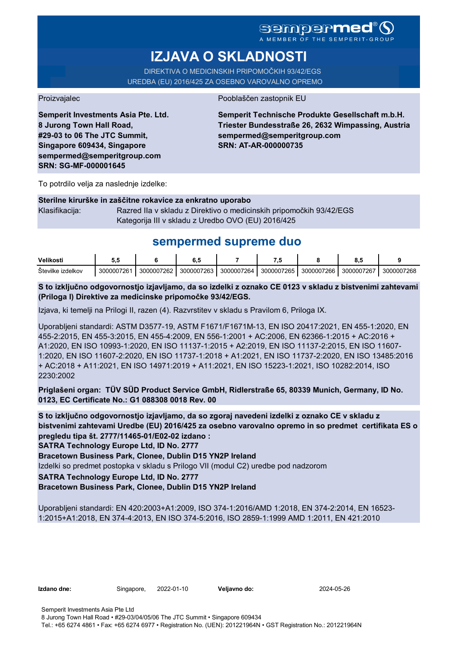A MEMBER OF THE SEMPERIT-GROUP

# **IZJAVA O SKLADNOSTI**

DIREKTIVA O MEDICINSKIH PRIPOMOČKIH 93/42/EGS UREDBA (EU) 2016/425 ZA OSEBNO VAROVALNO OPREMO

Proizvajalec Pooblaščen zastopnik EU

**Semperit Investments Asia Pte. Ltd. 8 Jurong Town Hall Road, #29-03 to 06 The JTC Summit, Singapore 609434, Singapore sempermed@semperitgroup.com SRN: SG-MF-000001645**

**Semperit Technische Produkte Gesellschaft m.b.H. Triester Bundesstraße 26, 2632 Wimpassing, Austria sempermed@semperitgroup.com SRN: AT-AR-000000735**

To potrdilo velja za naslednje izdelke:

#### **Sterilne kirurške in zaščitne rokavice za enkratno uporabo**

Klasifikacija: Razred IIa v skladu z Direktivo o medicinskih pripomočkih 93/42/EGS Kategorija III v skladu z Uredbo OVO (EU) 2016/425

## **sempermed supreme duo**

| Velikosti              | v.v        |            | υ.,        |            | - -        |            |            |            |
|------------------------|------------|------------|------------|------------|------------|------------|------------|------------|
| Stevilke<br>. izdelkov | 3000007261 | 3000007262 | 3000007263 | 3000007264 | 3000007265 | 3000007266 | 3000007267 | 3000007268 |

**S to izključno odgovornostjo izjavljamo, da so izdelki z oznako CE 0123 v skladu z bistvenimi zahtevami (Priloga I) Direktive za medicinske pripomočke 93/42/EGS.**

Izjava, ki temelji na Prilogi II, razen (4). Razvrstitev v skladu s Pravilom 6, Priloga IX.

Uporabljeni standardi: ASTM D3577-19, ASTM F1671/F1671M-13, EN ISO 20417:2021, EN 455-1:2020, EN 455-2:2015, EN 455-3:2015, EN 455-4:2009, EN 556-1:2001 + AC:2006, EN 62366-1:2015 + AC:2016 + A1:2020, EN ISO 10993-1:2020, EN ISO 11137-1:2015 + A2:2019, EN ISO 11137-2:2015, EN ISO 11607- 1:2020, EN ISO 11607-2:2020, EN ISO 11737-1:2018 + A1:2021, EN ISO 11737-2:2020, EN ISO 13485:2016 + AC:2018 + A11:2021, EN ISO 14971:2019 + A11:2021, EN ISO 15223-1:2021, ISO 10282:2014, ISO 2230:2002

**Priglašeni organ: TÜV SÜD Product Service GmbH, Ridlerstraße 65, 80339 Munich, Germany, ID No. 0123, EC Certificate No.: G1 088308 0018 Rev. 00** 

**S to izključno odgovornostjo izjavljamo, da so zgoraj navedeni izdelki z oznako CE v skladu z bistvenimi zahtevami Uredbe (EU) 2016/425 za osebno varovalno opremo in so predmet certifikata ES o pregledu tipa št. 2777/11465-01/E02-02 izdano :**

**SATRA Technology Europe Ltd, ID No. 2777**

**Bracetown Business Park, Clonee, Dublin D15 YN2P Ireland**

Izdelki so predmet postopka v skladu s Prilogo VII (modul C2) uredbe pod nadzorom

### **SATRA Technology Europe Ltd, ID No. 2777**

#### **Bracetown Business Park, Clonee, Dublin D15 YN2P Ireland**

Uporabljeni standardi: EN 420:2003+A1:2009, ISO 374-1:2016/AMD 1:2018, EN 374-2:2014, EN 16523- 1:2015+A1:2018, EN 374-4:2013, EN ISO 374-5:2016, ISO 2859-1:1999 AMD 1:2011, EN 421:2010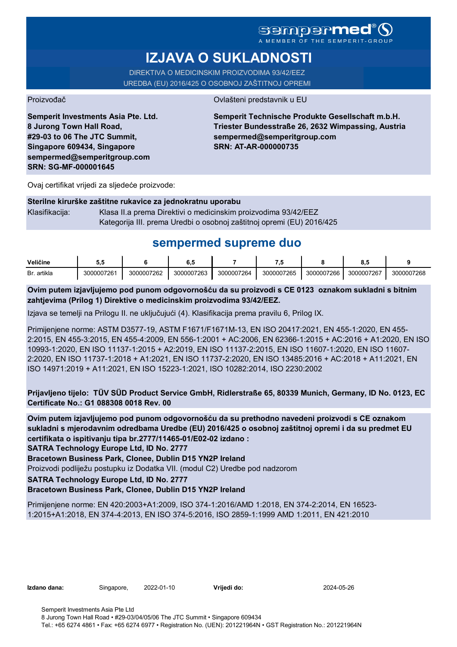## **sempermed**

A MEMBER OF THE

# **IZJAVA O SUKLADNOSTI**

DIREKTIVA O MEDICINSKIM PROIZVODIMA 93/42/EEZ UREDBA (EU) 2016/425 O OSOBNOJ ZAŠTITNOJ OPREMI

Proizvođač **Ovlašteni predstavnik u EU** 

**Semperit Investments Asia Pte. Ltd. 8 Jurong Town Hall Road, #29-03 to 06 The JTC Summit, Singapore 609434, Singapore sempermed@semperitgroup.com SRN: SG-MF-000001645**

**Semperit Technische Produkte Gesellschaft m.b.H. Triester Bundesstraße 26, 2632 Wimpassing, Austria sempermed@semperitgroup.com SRN: AT-AR-000000735**

Ovaj certifikat vrijedi za sljedeće proizvode:

#### **Sterilne kirurške zaštitne rukavice za jednokratnu uporabu**

Klasifikacija: Klasa II.a prema Direktivi o medicinskim proizvodima 93/42/EEZ Kategorija III. prema Uredbi o osobnoj zaštitnoj opremi (EU) 2016/425

## **sempermed supreme duo**

| Veličine    |            |            | v.v        |            | - -        |            | ο.,        |            |
|-------------|------------|------------|------------|------------|------------|------------|------------|------------|
| Br. artikla | 3000007261 | 3000007262 | 3000007263 | 3000007264 | 3000007265 | 3000007266 | 3000007267 | 3000007268 |

**Ovim putem izjavljujemo pod punom odgovornošću da su proizvodi s CE 0123 oznakom sukladni s bitnim zahtjevima (Prilog 1) Direktive o medicinskim proizvodima 93/42/EEZ.**

Izjava se temelji na Prilogu II. ne uključujući (4). Klasifikacija prema pravilu 6, Prilog IX.

Primijenjene norme: ASTM D3577-19, ASTM F1671/F1671M-13, EN ISO 20417:2021, EN 455-1:2020, EN 455- 2:2015, EN 455-3:2015, EN 455-4:2009, EN 556-1:2001 + AC:2006, EN 62366-1:2015 + AC:2016 + A1:2020, EN ISO 10993-1:2020, EN ISO 11137-1:2015 + A2:2019, EN ISO 11137-2:2015, EN ISO 11607-1:2020, EN ISO 11607- 2:2020, EN ISO 11737-1:2018 + A1:2021, EN ISO 11737-2:2020, EN ISO 13485:2016 + AC:2018 + A11:2021, EN ISO 14971:2019 + A11:2021, EN ISO 15223-1:2021, ISO 10282:2014, ISO 2230:2002

**Prijavljeno tijelo: TÜV SÜD Product Service GmbH, Ridlerstraße 65, 80339 Munich, Germany, ID No. 0123, EC Certificate No.: G1 088308 0018 Rev. 00** 

**Ovim putem izjavljujemo pod punom odgovornošću da su prethodno navedeni proizvodi s CE oznakom sukladni s mjerodavnim odredbama Uredbe (EU) 2016/425 o osobnoj zaštitnoj opremi i da su predmet EU certifikata o ispitivanju tipa br.2777/11465-01/E02-02 izdano :**

**SATRA Technology Europe Ltd, ID No. 2777**

**Bracetown Business Park, Clonee, Dublin D15 YN2P Ireland**

Proizvodi podliježu postupku iz Dodatka VII. (modul C2) Uredbe pod nadzorom

**SATRA Technology Europe Ltd, ID No. 2777**

#### **Bracetown Business Park, Clonee, Dublin D15 YN2P Ireland**

Primijenjene norme: EN 420:2003+A1:2009, ISO 374-1:2016/AMD 1:2018, EN 374-2:2014, EN 16523- 1:2015+A1:2018, EN 374-4:2013, EN ISO 374-5:2016, ISO 2859-1:1999 AMD 1:2011, EN 421:2010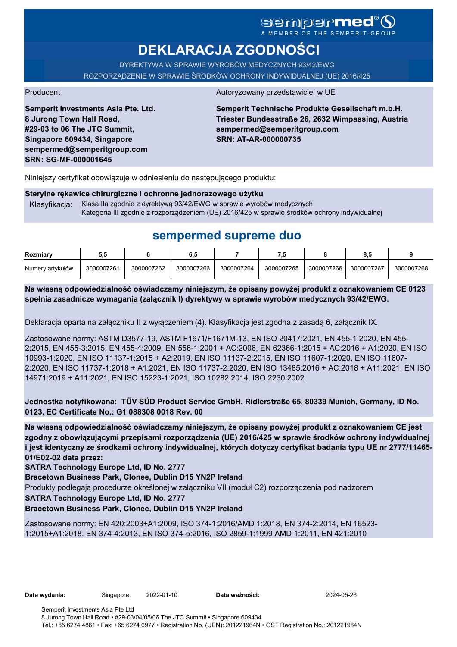# sempermed

**DEKLARACJA ZGODNOŚCI**

DYREKTYWA W SPRAWIE WYROBÓW MEDYCZNYCH 93/42/EWG ROZPORZĄDZENIE W SPRAWIE ŚRODKÓW OCHRONY INDYWIDUALNEJ (UE) 2016/425

**Semperit Investments Asia Pte. Ltd. 8 Jurong Town Hall Road, #29-03 to 06 The JTC Summit, Singapore 609434, Singapore sempermed@semperitgroup.com SRN: SG-MF-000001645**

#### Producent Autoryzowany przedstawiciel w UE

**Semperit Technische Produkte Gesellschaft m.b.H. Triester Bundesstraße 26, 2632 Wimpassing, Austria sempermed@semperitgroup.com SRN: AT-AR-000000735**

Niniejszy certyfikat obowiązuje w odniesieniu do następującego produktu:

#### **Sterylne rękawice chirurgiczne i ochronne jednorazowego użytku**

Klasyfikacja: Klasa IIa zgodnie z dyrektywą 93/42/EWG w sprawie wyrobów medycznych Kategoria III zgodnie z rozporządzeniem (UE) 2016/425 w sprawie środków ochrony indywidualnej

## **sempermed supreme duo**

| Rozmiarv         | $\mathbf{u} \cdot \mathbf{v}$ |            | ο          |            | - 7        |            | o.c        |            |
|------------------|-------------------------------|------------|------------|------------|------------|------------|------------|------------|
| Numery artykułów | 3000007261                    | 3000007262 | 3000007263 | 3000007264 | 3000007265 | 3000007266 | 3000007267 | 3000007268 |

**Na własną odpowiedzialność oświadczamy niniejszym, że opisany powyżej produkt z oznakowaniem CE 0123 spełnia zasadnicze wymagania (załącznik I) dyrektywy w sprawie wyrobów medycznych 93/42/EWG.**

Deklaracja oparta na załączniku II z wyłączeniem (4). Klasyfikacja jest zgodna z zasadą 6, załącznik IX.

Zastosowane normy: ASTM D3577-19, ASTM F1671/F1671M-13, EN ISO 20417:2021, EN 455-1:2020, EN 455- 2:2015, EN 455-3:2015, EN 455-4:2009, EN 556-1:2001 + AC:2006, EN 62366-1:2015 + AC:2016 + A1:2020, EN ISO 10993-1:2020, EN ISO 11137-1:2015 + A2:2019, EN ISO 11137-2:2015, EN ISO 11607-1:2020, EN ISO 11607- 2:2020, EN ISO 11737-1:2018 + A1:2021, EN ISO 11737-2:2020, EN ISO 13485:2016 + AC:2018 + A11:2021, EN ISO 14971:2019 + A11:2021, EN ISO 15223-1:2021, ISO 10282:2014, ISO 2230:2002

#### **Jednostka notyfikowana: TÜV SÜD Product Service GmbH, Ridlerstraße 65, 80339 Munich, Germany, ID No. 0123, EC Certificate No.: G1 088308 0018 Rev. 00**

**Na własną odpowiedzialność oświadczamy niniejszym, że opisany powyżej produkt z oznakowaniem CE jest zgodny z obowiązującymi przepisami rozporządzenia (UE) 2016/425 w sprawie środków ochrony indywidualnej i jest identyczny ze środkami ochrony indywidualnej, których dotyczy certyfikat badania typu UE nr 2777/11465- 01/E02-02 data przez:**

**SATRA Technology Europe Ltd, ID No. 2777**

**Bracetown Business Park, Clonee, Dublin D15 YN2P Ireland**

Produkty podlegają procedurze określonej w załączniku VII (moduł C2) rozporządzenia pod nadzorem

**SATRA Technology Europe Ltd, ID No. 2777**

#### **Bracetown Business Park, Clonee, Dublin D15 YN2P Ireland**

Zastosowane normy: EN 420:2003+A1:2009, ISO 374-1:2016/AMD 1:2018, EN 374-2:2014, EN 16523- 1:2015+A1:2018, EN 374-4:2013, EN ISO 374-5:2016, ISO 2859-1:1999 AMD 1:2011, EN 421:2010

**Data wydania:** Singapore, 2022-01-10 **Data ważności:** 2024-05-26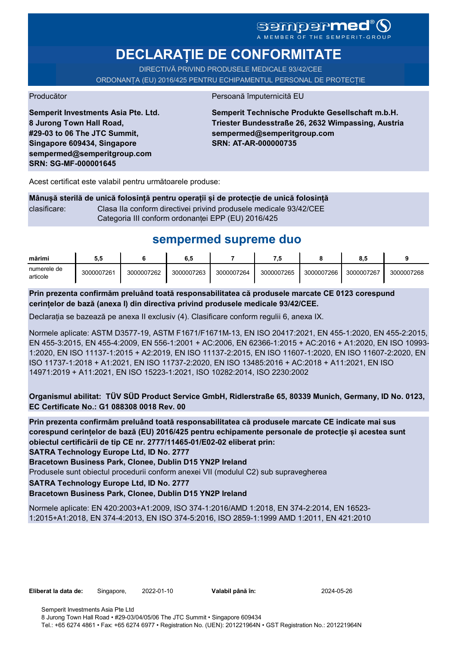# SGMDGPMEd<sup>®</sup>O

**DECLARAȚIE DE CONFORMITATE**

DIRECTIVĂ PRIVIND PRODUSELE MEDICALE 93/42/CEE

ORDONANȚA (EU) 2016/425 PENTRU ECHIPAMENTUL PERSONAL DE PROTECȚIE

Producător **Producător** Persoană împuternicită EU

**Semperit Investments Asia Pte. Ltd. 8 Jurong Town Hall Road, #29-03 to 06 The JTC Summit, Singapore 609434, Singapore sempermed@semperitgroup.com SRN: SG-MF-000001645**

**Semperit Technische Produkte Gesellschaft m.b.H. Triester Bundesstraße 26, 2632 Wimpassing, Austria sempermed@semperitgroup.com SRN: AT-AR-000000735**

Acest certificat este valabil pentru următoarele produse:

**Mânușă sterilă de unică folosință pentru operații și de protecție de unică folosință** clasificare: Clasa IIa conform directivei privind produsele medicale 93/42/CEE Categoria III conform ordonanței EPP (EU) 2016/425

# **sempermed supreme duo**

| mărimi                  | 5.5        |            | 6,5        |            |            |            | 8.5        |            |
|-------------------------|------------|------------|------------|------------|------------|------------|------------|------------|
| numerele de<br>articole | 3000007261 | 3000007262 | 3000007263 | 3000007264 | 3000007265 | 3000007266 | 3000007267 | 3000007268 |

**Prin prezenta confirmăm preluând toată responsabilitatea că produsele marcate CE 0123 corespund cerințelor de bază (anexa I) din directiva privind produsele medicale 93/42/CEE.**

Declarația se bazează pe anexa II exclusiv (4). Clasificare conform regulii 6, anexa IX.

Normele aplicate: ASTM D3577-19, ASTM F1671/F1671M-13, EN ISO 20417:2021, EN 455-1:2020, EN 455-2:2015, EN 455-3:2015, EN 455-4:2009, EN 556-1:2001 + AC:2006, EN 62366-1:2015 + AC:2016 + A1:2020, EN ISO 10993- 1:2020, EN ISO 11137-1:2015 + A2:2019, EN ISO 11137-2:2015, EN ISO 11607-1:2020, EN ISO 11607-2:2020, EN ISO 11737-1:2018 + A1:2021, EN ISO 11737-2:2020, EN ISO 13485:2016 + AC:2018 + A11:2021, EN ISO 14971:2019 + A11:2021, EN ISO 15223-1:2021, ISO 10282:2014, ISO 2230:2002

**Organismul abilitat: TÜV SÜD Product Service GmbH, Ridlerstraße 65, 80339 Munich, Germany, ID No. 0123, EC Certificate No.: G1 088308 0018 Rev. 00** 

**Prin prezenta confirmăm preluând toată responsabilitatea că produsele marcate CE indicate mai sus corespund cerințelor de bază (EU) 2016/425 pentru echipamente personale de protecție și acestea sunt obiectul certificării de tip CE nr. 2777/11465-01/E02-02 eliberat prin:**

**SATRA Technology Europe Ltd, ID No. 2777**

**Bracetown Business Park, Clonee, Dublin D15 YN2P Ireland**

Produsele sunt obiectul procedurii conform anexei VII (modulul C2) sub supravegherea

**SATRA Technology Europe Ltd, ID No. 2777**

#### **Bracetown Business Park, Clonee, Dublin D15 YN2P Ireland**

Normele aplicate: EN 420:2003+A1:2009, ISO 374-1:2016/AMD 1:2018, EN 374-2:2014, EN 16523- 1:2015+A1:2018, EN 374-4:2013, EN ISO 374-5:2016, ISO 2859-1:1999 AMD 1:2011, EN 421:2010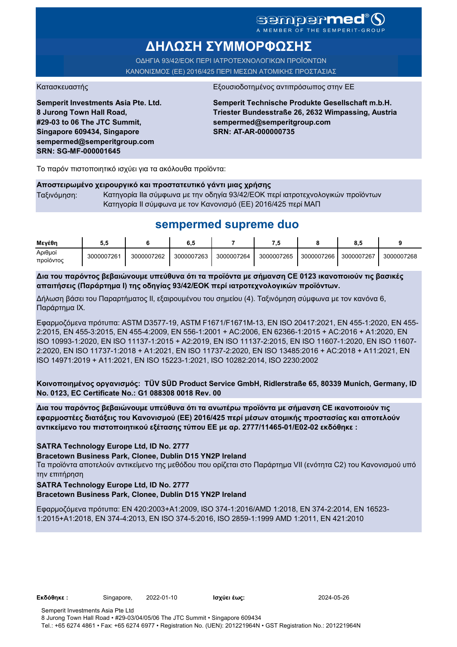### sempermed<sup>®</sup>Q A MEMBER OF THE SEMPERIT-GROUI

**ΔΗΛΩΣΗ ΣΥΜΜΟΡΦΩΣΗΣ**

ΟΔΗΓΙΑ 93/42/ΕΟΚ ΠΕΡΙ ΙΑΤΡΟΤΕΧΝΟΛΟΓΙΚΩΝ ΠΡΟΪΟΝΤΩΝ ΚΑΝΟΝΙΣΜΟΣ (ΕΕ) 2016/425 ΠΕΡΙ ΜΕΣΩΝ ΑΤΟΜΙΚΗΣ ΠΡΟΣΤΑΣΙΑΣ

Κατασκευαστής <u>Εξουσιοδοτημένος αντιπρόσωπος στην Ε</u>

**Semperit Investments Asia Pte. Ltd. 8 Jurong Town Hall Road, #29-03 to 06 The JTC Summit, Singapore 609434, Singapore sempermed@semperitgroup.com SRN: SG-MF-000001645**

**Semperit Technische Produkte Gesellschaft m.b.H. Triester Bundesstraße 26, 2632 Wimpassing, Austria sempermed@semperitgroup.com SRN: AT-AR-000000735**

Το παρόν πιστοποιητικό ισχύει για τα ακόλουθα προϊόντα:

#### **Αποστειρωμένο χειρουργικό και προστατευτικό γάντι μιας χρήσης**

Ταξινόμηση: Κατηγορία IIa σύμφωνα με την οδηγία 93/42/ΕΟΚ περί ιατροτεχνολογικών προϊόντων Κατηγορία II σύμφωνα με τον Κανονισμό (ΕΕ) 2016/425 περί ΜΑΠ

## **sempermed supreme duo**

| Μενέθη               |            |            | 6,5        |            |            |            | $\bullet$ .<br>o.c |            |
|----------------------|------------|------------|------------|------------|------------|------------|--------------------|------------|
| Αριθμοί<br>προϊόντος | 3000007261 | 3000007262 | 3000007263 | 3000007264 | 3000007265 | 3000007266 | 3000007267         | 3000007268 |

**Δια του παρόντος βεβαιώνουμε υπεύθυνα ότι τα προϊόντα με σήμανση CE 0123 ικανοποιούν τις βασικές απαιτήσεις (Παράρτημα I) της οδηγίας 93/42/ΕΟΚ περί ιατροτεχνολογικών προϊόντων.**

Δήλωση βάσει του Παραρτήματος II, εξαιρουμένου του σημείου (4). Ταξινόμηση σύμφωνα με τον κανόνα 6, Παράρτημα IX.

Εφαρμοζόμενα πρότυπα: ASTM D3577-19, ASTM F1671/F1671M-13, EN ISO 20417:2021, EN 455-1:2020, EN 455- 2:2015, EN 455-3:2015, EN 455-4:2009, EN 556-1:2001 + AC:2006, EN 62366-1:2015 + AC:2016 + A1:2020, EN ISO 10993-1:2020, EN ISO 11137-1:2015 + A2:2019, EN ISO 11137-2:2015, EN ISO 11607-1:2020, EN ISO 11607- 2:2020, EN ISO 11737-1:2018 + A1:2021, EN ISO 11737-2:2020, EN ISO 13485:2016 + AC:2018 + A11:2021, EN ISO 14971:2019 + A11:2021, EN ISO 15223-1:2021, ISO 10282:2014, ISO 2230:2002

**Κοινοποιημένος οργανισμός: TÜV SÜD Product Service GmbH, Ridlerstraße 65, 80339 Munich, Germany, ID No. 0123, EC Certificate No.: G1 088308 0018 Rev. 00** 

**Δια του παρόντος βεβαιώνουμε υπεύθυνα ότι τα ανωτέρω προϊόντα με σήμανση CE ικανοποιούν τις εφαρμοστέες διατάξεις του Κανονισμού (ΕΕ) 2016/425 περί μέσων ατομικής προστασίας και αποτελούν αντικείμενο του πιστοποιητικού εξέτασης τύπου ΕΕ με αρ. 2777/11465-01/E02-02 εκδόθηκε :**

#### **SATRA Technology Europe Ltd, ID No. 2777**

**Bracetown Business Park, Clonee, Dublin D15 YN2P Ireland**

Τα προϊόντα αποτελούν αντικείμενο της μεθόδου που ορίζεται στο Παράρτημα VII (ενότητα C2) του Κανονισμού υπό την επιτήρηση

#### **SATRA Technology Europe Ltd, ID No. 2777**

#### **Bracetown Business Park, Clonee, Dublin D15 YN2P Ireland**

Εφαρμοζόμενα πρότυπα: EN 420:2003+A1:2009, ISO 374-1:2016/AMD 1:2018, EN 374-2:2014, EN 16523- 1:2015+A1:2018, EN 374-4:2013, EN ISO 374-5:2016, ISO 2859-1:1999 AMD 1:2011, EN 421:2010

**Εκδόθηκε :** Singapore, 2022-01-10 **Ισχύει έως:** 2024-05-26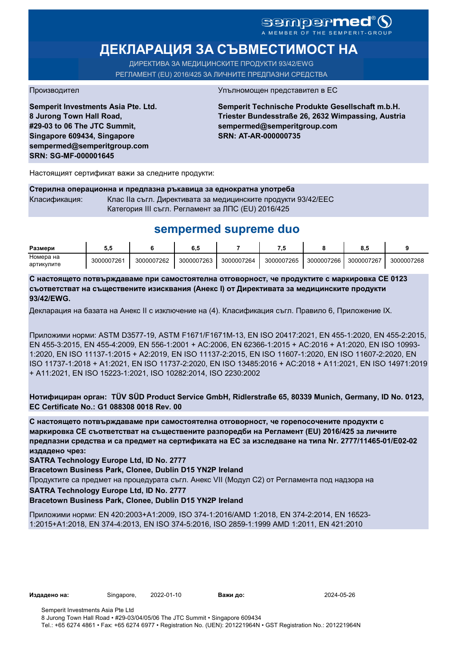# sempermed®

# **ДЕКЛАРАЦИЯ ЗА СЪВМЕСТИМОСТ НА**

ДИРЕКТИВА ЗА МЕДИЦИНСКИТЕ ПРОДУКТИ 93/42/EWG РЕГЛАМЕНТ (EU) 2016/425 ЗА ЛИЧНИТЕ ПРЕДПАЗНИ СРЕДСТВА

**Semperit Investments Asia Pte. Ltd. 8 Jurong Town Hall Road, #29-03 to 06 The JTC Summit, Singapore 609434, Singapore sempermed@semperitgroup.com SRN: SG-MF-000001645**

#### Производител Упълномощен представител в ЕС

**Semperit Technische Produkte Gesellschaft m.b.H. Triester Bundesstraße 26, 2632 Wimpassing, Austria sempermed@semperitgroup.com SRN: AT-AR-000000735**

Настоящият сертификат важи за следните продукти:

**Стерилна операционна и предпазна ръкавица за еднократна употреба** Класификация: Клас IIa съгл. Директивата за медицинските продукти 93/42/EEC Категория III съгл. Регламент за ЛПС (EU) 2016/425

## **sempermed supreme duo**

| Размери    |            |            | o. J       |            |            |            | 0.0        |            |
|------------|------------|------------|------------|------------|------------|------------|------------|------------|
| Номера на  | 3000007261 | 3000007262 | 3000007263 | 3000007264 | 3000007265 | 3000007266 | 3000007267 | 3000007268 |
| артикулите |            |            |            |            |            |            |            |            |

**С настоящето потвърждаваме при самостоятелна отговорност, че продуктите с маркировка СЕ 0123 съответстват на съществените изисквания (Анекс I) от Директивата за медицинските продукти 93/42/EWG.**

Декларация на базата на Анекс II с изключение на (4). Класификация съгл. Правило 6, Приложение IX.

Приложими норми: ASTM D3577-19, ASTM F1671/F1671M-13, EN ISO 20417:2021, EN 455-1:2020, EN 455-2:2015, EN 455-3:2015, EN 455-4:2009, EN 556-1:2001 + AC:2006, EN 62366-1:2015 + AC:2016 + A1:2020, EN ISO 10993- 1:2020, EN ISO 11137-1:2015 + A2:2019, EN ISO 11137-2:2015, EN ISO 11607-1:2020, EN ISO 11607-2:2020, EN ISO 11737-1:2018 + A1:2021, EN ISO 11737-2:2020, EN ISO 13485:2016 + AC:2018 + A11:2021, EN ISO 14971:2019 + A11:2021, EN ISO 15223-1:2021, ISO 10282:2014, ISO 2230:2002

**Нотифициран орган: TÜV SÜD Product Service GmbH, Ridlerstraße 65, 80339 Munich, Germany, ID No. 0123, EC Certificate No.: G1 088308 0018 Rev. 00** 

**С настоящето потвърждаваме при самостоятелна отговорност, че горепосочените продукти с маркировка СЕ съответстват на съществените разпоредби на Регламент (EU) 2016/425 за личните предпазни средства и са предмет на сертификата на ЕС за изследване на типа Nr. 2777/11465-01/E02-02 издадено чрез:**

**SATRA Technology Europe Ltd, ID No. 2777**

**Bracetown Business Park, Clonee, Dublin D15 YN2P Ireland**

Продуктите са предмет на процедурата съгл. Анекс VII (Модул С2) от Регламента под надзора на

**SATRA Technology Europe Ltd, ID No. 2777**

**Bracetown Business Park, Clonee, Dublin D15 YN2P Ireland**

Приложими норми: EN 420:2003+A1:2009, ISO 374-1:2016/AMD 1:2018, EN 374-2:2014, EN 16523- 1:2015+A1:2018, EN 374-4:2013, EN ISO 374-5:2016, ISO 2859-1:1999 AMD 1:2011, EN 421:2010